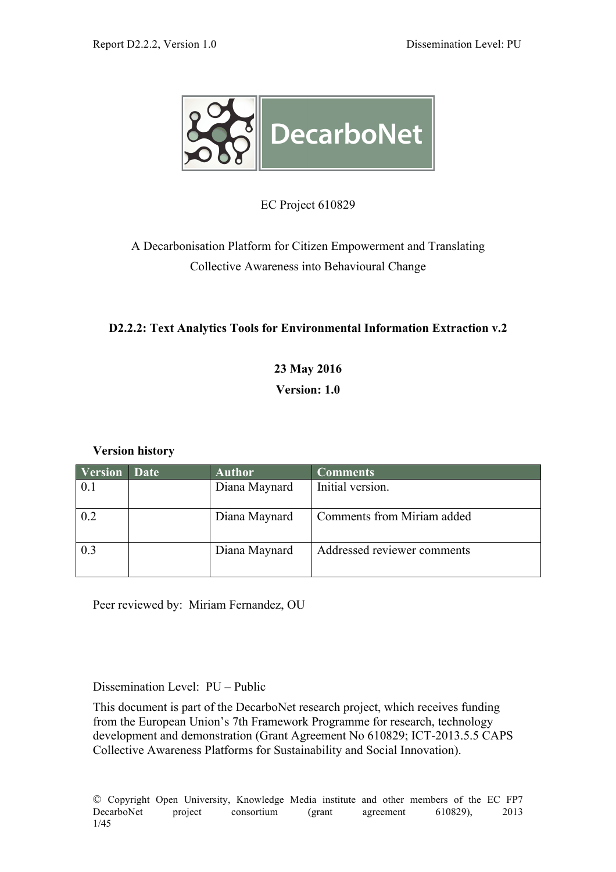

EC Project 610829

A Decarbonisation Platform for Citizen Empowerment and Translating Collective Awareness into Behavioural Change

# **D2.2.2: Text Analytics Tools for Environmental Information Extraction v.2**

# **23 May 2016 Version: 1.0**

# **Version history**

| <b>Version</b> | Date | <b>Author</b> | <b>Comments</b>             |
|----------------|------|---------------|-----------------------------|
| 0.1            |      | Diana Maynard | Initial version.            |
| 0.2            |      | Diana Maynard | Comments from Miriam added  |
| 0.3            |      | Diana Maynard | Addressed reviewer comments |

Peer reviewed by: Miriam Fernandez, OU

Dissemination Level: PU – Public

This document is part of the DecarboNet research project, which receives funding from the European Union's 7th Framework Programme for research, technology development and demonstration (Grant Agreement No 610829; ICT-2013.5.5 CAPS Collective Awareness Platforms for Sustainability and Social Innovation).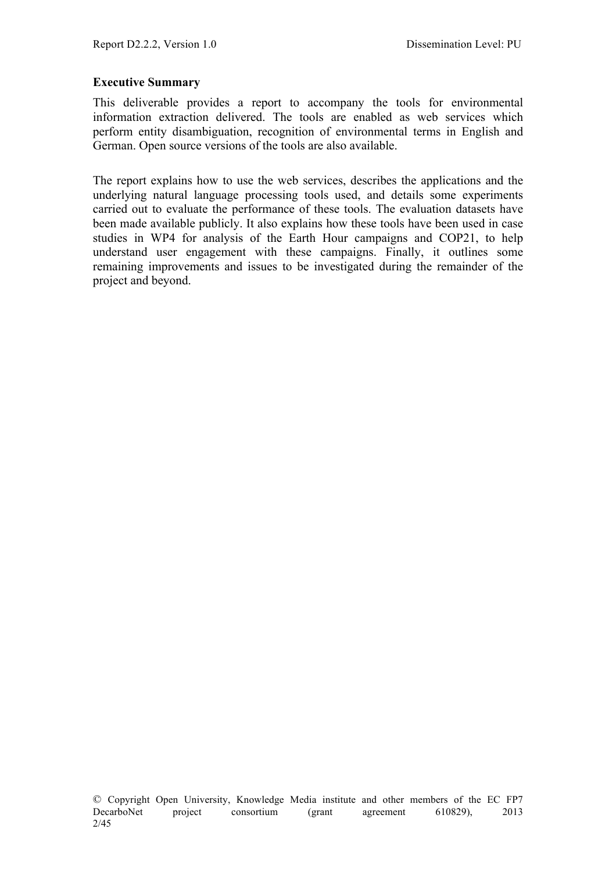#### **Executive Summary**

This deliverable provides a report to accompany the tools for environmental information extraction delivered. The tools are enabled as web services which perform entity disambiguation, recognition of environmental terms in English and German. Open source versions of the tools are also available.

The report explains how to use the web services, describes the applications and the underlying natural language processing tools used, and details some experiments carried out to evaluate the performance of these tools. The evaluation datasets have been made available publicly. It also explains how these tools have been used in case studies in WP4 for analysis of the Earth Hour campaigns and COP21, to help understand user engagement with these campaigns. Finally, it outlines some remaining improvements and issues to be investigated during the remainder of the project and beyond.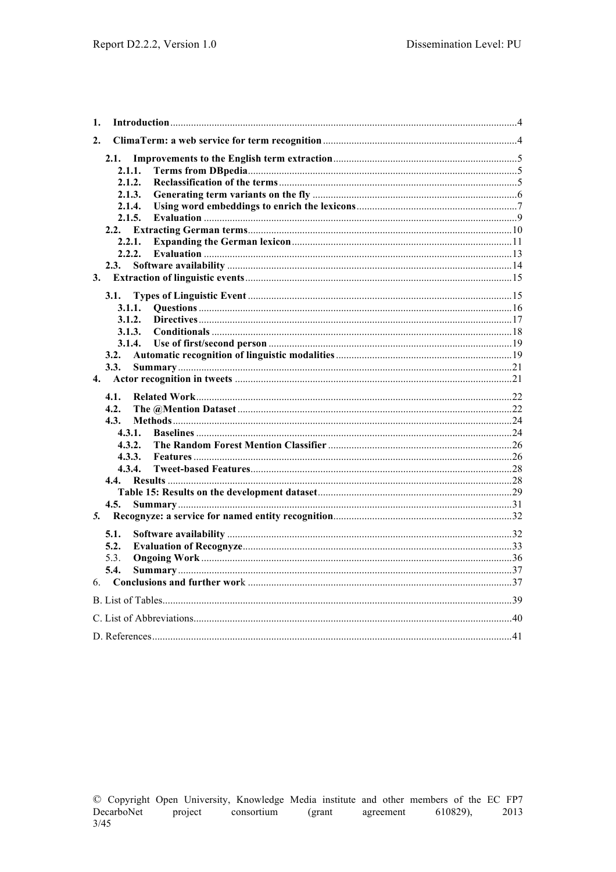| 1. |        |  |
|----|--------|--|
| 2. |        |  |
|    | 2.1.   |  |
|    | 2.1.1. |  |
|    | 2.1.2. |  |
|    | 2.1.3. |  |
|    | 2.1.4. |  |
|    | 2.1.5. |  |
|    |        |  |
|    | 2.2.1. |  |
|    | 2.2.2. |  |
|    | 2.3.   |  |
| 3. |        |  |
|    | 3.1.   |  |
|    | 3.1.1. |  |
|    | 3.1.2. |  |
|    | 3.1.3. |  |
|    | 3.1.4. |  |
|    | 3.2.   |  |
|    | 3.3.   |  |
|    |        |  |
|    | 4.1.   |  |
|    | 4.2.   |  |
|    | 4.3.   |  |
|    | 4.3.1. |  |
|    | 4.3.2. |  |
|    | 4.3.3. |  |
|    | 4.3.4. |  |
|    |        |  |
|    |        |  |
|    | 4.5.   |  |
| 5. |        |  |
|    | 5.1.   |  |
|    | 5.2.   |  |
|    | 5.3.   |  |
|    | 5.4.   |  |
| 6. |        |  |
|    |        |  |
|    |        |  |
|    |        |  |
|    |        |  |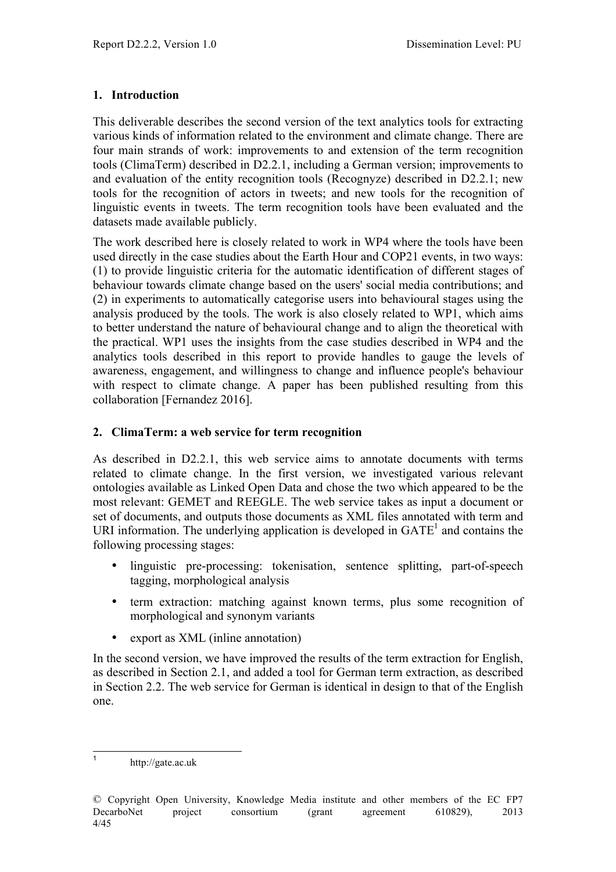#### **1. Introduction**

This deliverable describes the second version of the text analytics tools for extracting various kinds of information related to the environment and climate change. There are four main strands of work: improvements to and extension of the term recognition tools (ClimaTerm) described in D2.2.1, including a German version; improvements to and evaluation of the entity recognition tools (Recognyze) described in D2.2.1; new tools for the recognition of actors in tweets; and new tools for the recognition of linguistic events in tweets. The term recognition tools have been evaluated and the datasets made available publicly.

The work described here is closely related to work in WP4 where the tools have been used directly in the case studies about the Earth Hour and COP21 events, in two ways: (1) to provide linguistic criteria for the automatic identification of different stages of behaviour towards climate change based on the users' social media contributions; and (2) in experiments to automatically categorise users into behavioural stages using the analysis produced by the tools. The work is also closely related to WP1, which aims to better understand the nature of behavioural change and to align the theoretical with the practical. WP1 uses the insights from the case studies described in WP4 and the analytics tools described in this report to provide handles to gauge the levels of awareness, engagement, and willingness to change and influence people's behaviour with respect to climate change. A paper has been published resulting from this collaboration [Fernandez 2016].

#### **2. ClimaTerm: a web service for term recognition**

As described in D2.2.1, this web service aims to annotate documents with terms related to climate change. In the first version, we investigated various relevant ontologies available as Linked Open Data and chose the two which appeared to be the most relevant: GEMET and REEGLE. The web service takes as input a document or set of documents, and outputs those documents as XML files annotated with term and URI information. The underlying application is developed in  $GATE<sup>1</sup>$  and contains the following processing stages:

- linguistic pre-processing: tokenisation, sentence splitting, part-of-speech tagging, morphological analysis
- term extraction: matching against known terms, plus some recognition of morphological and synonym variants
- export as XML (inline annotation)

In the second version, we have improved the results of the term extraction for English, as described in Section 2.1, and added a tool for German term extraction, as described in Section 2.2. The web service for German is identical in design to that of the English one.

<sup>1</sup> http://gate.ac.uk

<sup>©</sup> Copyright Open University, Knowledge Media institute and other members of the EC FP7 DecarboNet project consortium (grant agreement 610829), 2013 4/45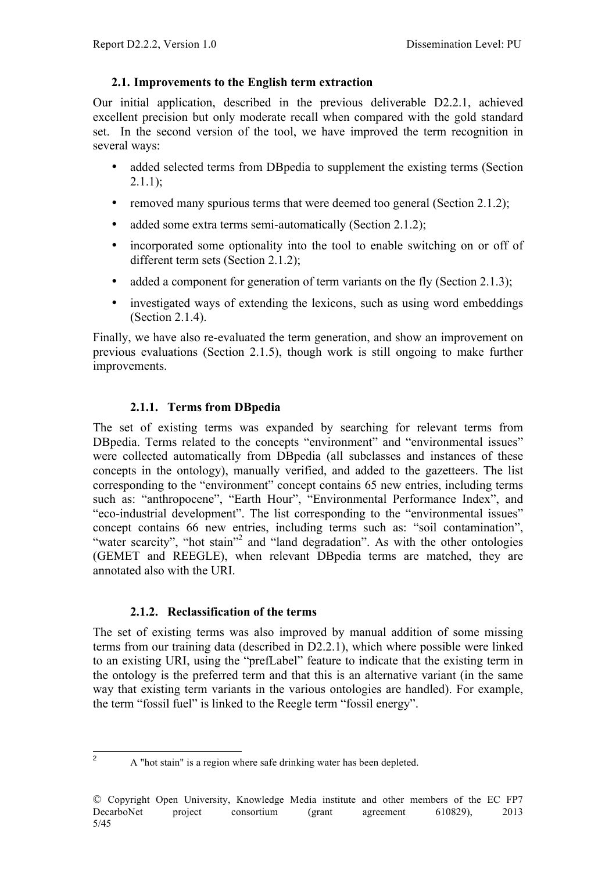#### **2.1. Improvements to the English term extraction**

Our initial application, described in the previous deliverable D2.2.1, achieved excellent precision but only moderate recall when compared with the gold standard set. In the second version of the tool, we have improved the term recognition in several ways:

- added selected terms from DBpedia to supplement the existing terms (Section  $2.1.1$ :
- removed many spurious terms that were deemed too general (Section 2.1.2);
- added some extra terms semi-automatically (Section 2.1.2);
- incorporated some optionality into the tool to enable switching on or off of different term sets (Section 2.1.2);
- added a component for generation of term variants on the fly (Section 2.1.3);
- investigated ways of extending the lexicons, such as using word embeddings (Section 2.1.4).

Finally, we have also re-evaluated the term generation, and show an improvement on previous evaluations (Section 2.1.5), though work is still ongoing to make further improvements.

# **2.1.1. Terms from DBpedia**

The set of existing terms was expanded by searching for relevant terms from DBpedia. Terms related to the concepts "environment" and "environmental issues" were collected automatically from DBpedia (all subclasses and instances of these concepts in the ontology), manually verified, and added to the gazetteers. The list corresponding to the "environment" concept contains 65 new entries, including terms such as: "anthropocene", "Earth Hour", "Environmental Performance Index", and "eco-industrial development". The list corresponding to the "environmental issues" concept contains 66 new entries, including terms such as: "soil contamination", "water scarcity", "hot stain"<sup>2</sup> and "land degradation". As with the other ontologies (GEMET and REEGLE), when relevant DBpedia terms are matched, they are annotated also with the URI.

# **2.1.2. Reclassification of the terms**

The set of existing terms was also improved by manual addition of some missing terms from our training data (described in D2.2.1), which where possible were linked to an existing URI, using the "prefLabel" feature to indicate that the existing term in the ontology is the preferred term and that this is an alternative variant (in the same way that existing term variants in the various ontologies are handled). For example, the term "fossil fuel" is linked to the Reegle term "fossil energy".

<sup>&</sup>lt;sup>2</sup> A "hot stain" is a region where safe drinking water has been depleted.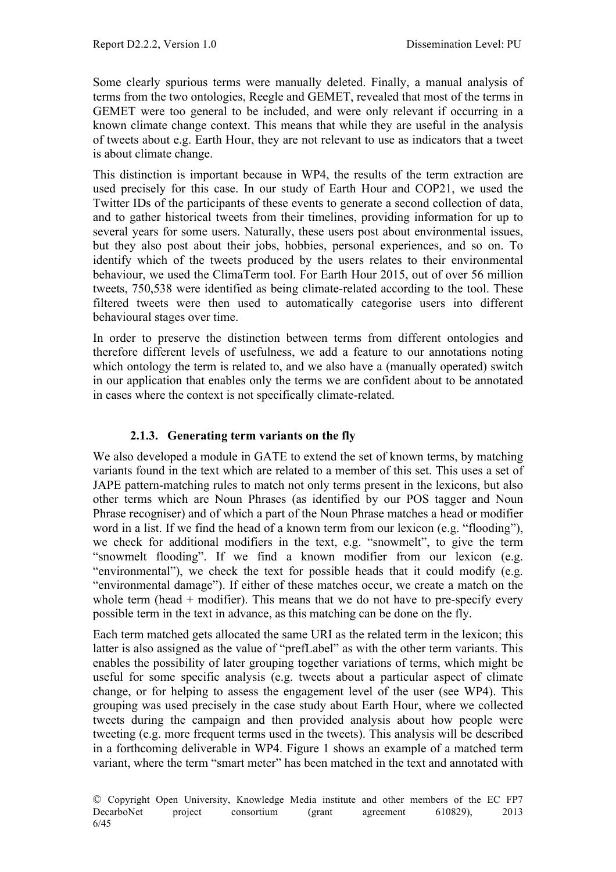Some clearly spurious terms were manually deleted. Finally, a manual analysis of terms from the two ontologies, Reegle and GEMET, revealed that most of the terms in GEMET were too general to be included, and were only relevant if occurring in a known climate change context. This means that while they are useful in the analysis of tweets about e.g. Earth Hour, they are not relevant to use as indicators that a tweet is about climate change.

This distinction is important because in WP4, the results of the term extraction are used precisely for this case. In our study of Earth Hour and COP21, we used the Twitter IDs of the participants of these events to generate a second collection of data, and to gather historical tweets from their timelines, providing information for up to several years for some users. Naturally, these users post about environmental issues, but they also post about their jobs, hobbies, personal experiences, and so on. To identify which of the tweets produced by the users relates to their environmental behaviour, we used the ClimaTerm tool. For Earth Hour 2015, out of over 56 million tweets, 750,538 were identified as being climate-related according to the tool. These filtered tweets were then used to automatically categorise users into different behavioural stages over time.

In order to preserve the distinction between terms from different ontologies and therefore different levels of usefulness, we add a feature to our annotations noting which ontology the term is related to, and we also have a (manually operated) switch in our application that enables only the terms we are confident about to be annotated in cases where the context is not specifically climate-related.

# **2.1.3. Generating term variants on the fly**

We also developed a module in GATE to extend the set of known terms, by matching variants found in the text which are related to a member of this set. This uses a set of JAPE pattern-matching rules to match not only terms present in the lexicons, but also other terms which are Noun Phrases (as identified by our POS tagger and Noun Phrase recogniser) and of which a part of the Noun Phrase matches a head or modifier word in a list. If we find the head of a known term from our lexicon (e.g. "flooding"), we check for additional modifiers in the text, e.g. "snowmelt", to give the term "snowmelt flooding". If we find a known modifier from our lexicon (e.g. "environmental"), we check the text for possible heads that it could modify (e.g. "environmental damage"). If either of these matches occur, we create a match on the whole term (head  $+$  modifier). This means that we do not have to pre-specify every possible term in the text in advance, as this matching can be done on the fly.

Each term matched gets allocated the same URI as the related term in the lexicon; this latter is also assigned as the value of "prefLabel" as with the other term variants. This enables the possibility of later grouping together variations of terms, which might be useful for some specific analysis (e.g. tweets about a particular aspect of climate change, or for helping to assess the engagement level of the user (see WP4). This grouping was used precisely in the case study about Earth Hour, where we collected tweets during the campaign and then provided analysis about how people were tweeting (e.g. more frequent terms used in the tweets). This analysis will be described in a forthcoming deliverable in WP4. Figure 1 shows an example of a matched term variant, where the term "smart meter" has been matched in the text and annotated with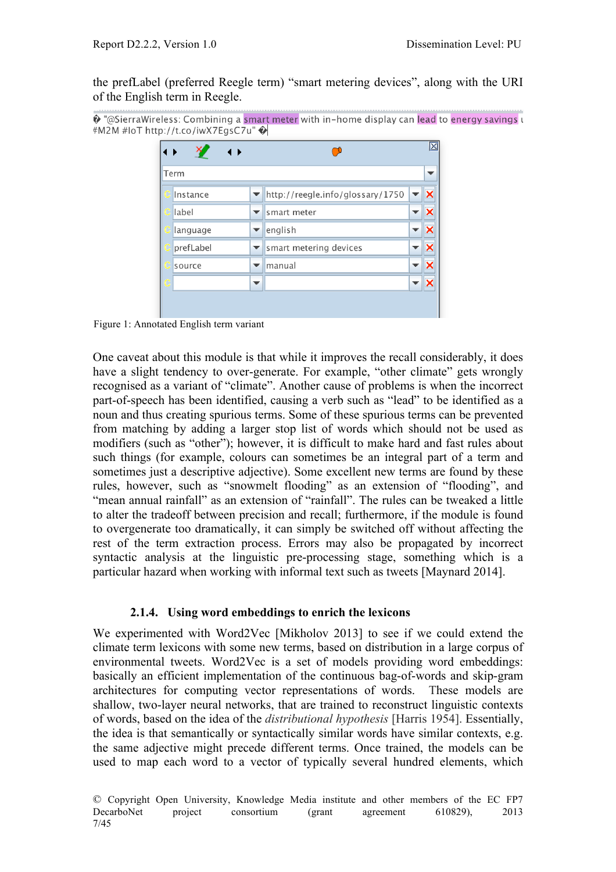the prefLabel (preferred Reegle term) "smart metering devices", along with the URI of the English term in Reegle.

```
<sup>2</sup> "@SierraWireless: Combining a smart meter with in-home display can lead to energy savings u
#M2M #IoT http://t.co/iwX7EgsC7u"
```

| - 1       |   |                                  |   | M |
|-----------|---|----------------------------------|---|---|
| Term      |   |                                  |   | ▼ |
| Instance  | v | http://reegle.info/glossary/1750 |   | × |
| label     | ▼ | smart meter                      |   |   |
| language  | ▼ | english                          |   | × |
| prefLabel | ÷ | smart metering devices           |   | × |
| source    | ▼ | manual                           | ▼ | × |
|           | ▼ |                                  |   |   |
|           |   |                                  |   |   |

Figure 1: Annotated English term variant

One caveat about this module is that while it improves the recall considerably, it does have a slight tendency to over-generate. For example, "other climate" gets wrongly recognised as a variant of "climate". Another cause of problems is when the incorrect part-of-speech has been identified, causing a verb such as "lead" to be identified as a noun and thus creating spurious terms. Some of these spurious terms can be prevented from matching by adding a larger stop list of words which should not be used as modifiers (such as "other"); however, it is difficult to make hard and fast rules about such things (for example, colours can sometimes be an integral part of a term and sometimes just a descriptive adjective). Some excellent new terms are found by these rules, however, such as "snowmelt flooding" as an extension of "flooding", and "mean annual rainfall" as an extension of "rainfall". The rules can be tweaked a little to alter the tradeoff between precision and recall; furthermore, if the module is found to overgenerate too dramatically, it can simply be switched off without affecting the rest of the term extraction process. Errors may also be propagated by incorrect syntactic analysis at the linguistic pre-processing stage, something which is a particular hazard when working with informal text such as tweets [Maynard 2014].

#### **2.1.4. Using word embeddings to enrich the lexicons**

We experimented with Word2Vec [Mikholov 2013] to see if we could extend the climate term lexicons with some new terms, based on distribution in a large corpus of environmental tweets. Word2Vec is a set of models providing word embeddings: basically an efficient implementation of the continuous bag-of-words and skip-gram architectures for computing vector representations of words. These models are shallow, two-layer neural networks, that are trained to reconstruct linguistic contexts of words, based on the idea of the *distributional hypothesis* [Harris 1954]. Essentially, the idea is that semantically or syntactically similar words have similar contexts, e.g. the same adjective might precede different terms. Once trained, the models can be used to map each word to a vector of typically several hundred elements, which

<sup>©</sup> Copyright Open University, Knowledge Media institute and other members of the EC FP7 DecarboNet project consortium (grant agreement 610829), 2013 7/45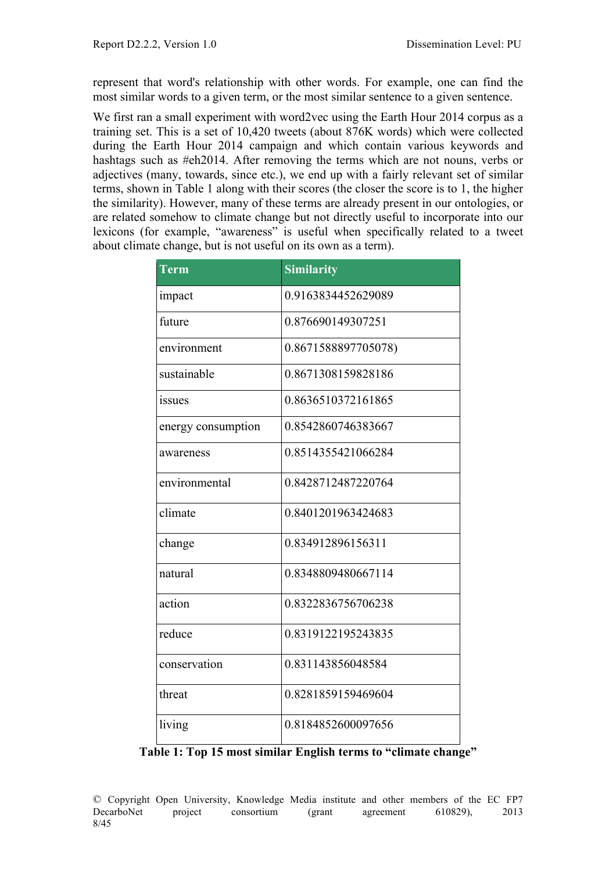represent that word's relationship with other words. For example, one can find the most similar words to a given term, or the most similar sentence to a given sentence.

We first ran a small experiment with word2vec using the Earth Hour 2014 corpus as a training set. This is a set of 10,420 tweets (about 876K words) which were collected during the Earth Hour 2014 campaign and which contain various keywords and hashtags such as #eh2014. After removing the terms which are not nouns, verbs or adjectives (many, towards, since etc.), we end up with a fairly relevant set of similar terms, shown in Table 1 along with their scores (the closer the score is to 1, the higher the similarity). However, many of these terms are already present in our ontologies, or are related somehow to climate change but not directly useful to incorporate into our lexicons (for example, "awareness" is useful when specifically related to a tweet about climate change, but is not useful on its own as a term).

| <b>Term</b>        | <b>Similarity</b>   |
|--------------------|---------------------|
| impact             | 0.9163834452629089  |
| future             | 0.876690149307251   |
| environment        | 0.8671588897705078) |
| sustainable        | 0.8671308159828186  |
| issues             | 0.8636510372161865  |
| energy consumption | 0.8542860746383667  |
| awareness          | 0.8514355421066284  |
| environmental      | 0.8428712487220764  |
| climate            | 0.8401201963424683  |
| change             | 0.834912896156311   |
| natural            | 0.8348809480667114  |
| action             | 0.8322836756706238  |
| reduce             | 0.8319122195243835  |
| conservation       | 0.831143856048584   |
| threat             | 0.8281859159469604  |
| living             | 0.8184852600097656  |

**Table 1: Top 15 most similar English terms to "climate change"**

© Copyright Open University, Knowledge Media institute and other members of the EC FP7 DecarboNet project consortium (grant agreement 610829), 2013 8/45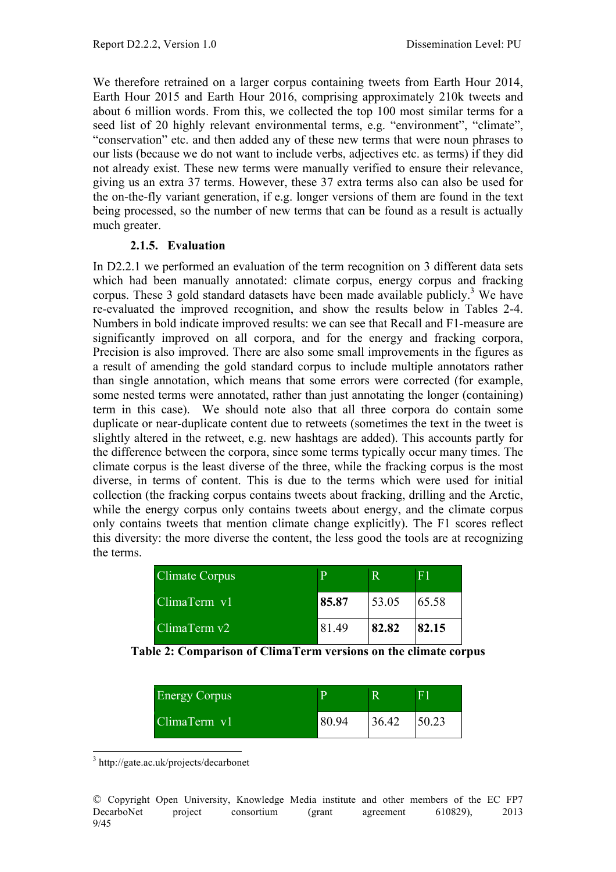We therefore retrained on a larger corpus containing tweets from Earth Hour 2014, Earth Hour 2015 and Earth Hour 2016, comprising approximately 210k tweets and about 6 million words. From this, we collected the top 100 most similar terms for a seed list of 20 highly relevant environmental terms, e.g. "environment", "climate", "conservation" etc. and then added any of these new terms that were noun phrases to our lists (because we do not want to include verbs, adjectives etc. as terms) if they did not already exist. These new terms were manually verified to ensure their relevance, giving us an extra 37 terms. However, these 37 extra terms also can also be used for the on-the-fly variant generation, if e.g. longer versions of them are found in the text being processed, so the number of new terms that can be found as a result is actually much greater.

#### **2.1.5. Evaluation**

In D2.2.1 we performed an evaluation of the term recognition on 3 different data sets which had been manually annotated: climate corpus, energy corpus and fracking corpus. These 3 gold standard datasets have been made available publicly. <sup>3</sup> We have re-evaluated the improved recognition, and show the results below in Tables 2-4. Numbers in bold indicate improved results: we can see that Recall and F1-measure are significantly improved on all corpora, and for the energy and fracking corpora, Precision is also improved. There are also some small improvements in the figures as a result of amending the gold standard corpus to include multiple annotators rather than single annotation, which means that some errors were corrected (for example, some nested terms were annotated, rather than just annotating the longer (containing) term in this case). We should note also that all three corpora do contain some duplicate or near-duplicate content due to retweets (sometimes the text in the tweet is slightly altered in the retweet, e.g. new hashtags are added). This accounts partly for the difference between the corpora, since some terms typically occur many times. The climate corpus is the least diverse of the three, while the fracking corpus is the most diverse, in terms of content. This is due to the terms which were used for initial collection (the fracking corpus contains tweets about fracking, drilling and the Arctic, while the energy corpus only contains tweets about energy, and the climate corpus only contains tweets that mention climate change explicitly). The F1 scores reflect this diversity: the more diverse the content, the less good the tools are at recognizing the terms.

| <b>Climate Corpus</b> |       |       | E1    |
|-----------------------|-------|-------|-------|
| ClimaTerm v1          | 85.87 | 53.05 | 65.58 |
| ClimaTerm v2          | 81.49 | 82.82 | 82.15 |

**Table 2: Comparison of ClimaTerm versions on the climate corpus**

| <b>Energy Corpus</b> | n     |       | 7P    |
|----------------------|-------|-------|-------|
| ClimaTerm v1         | 80.94 | 36.42 | 50.23 |

3 http://gate.ac.uk/projects/decarbonet

<sup>©</sup> Copyright Open University, Knowledge Media institute and other members of the EC FP7 DecarboNet project consortium (grant agreement 610829), 2013 9/45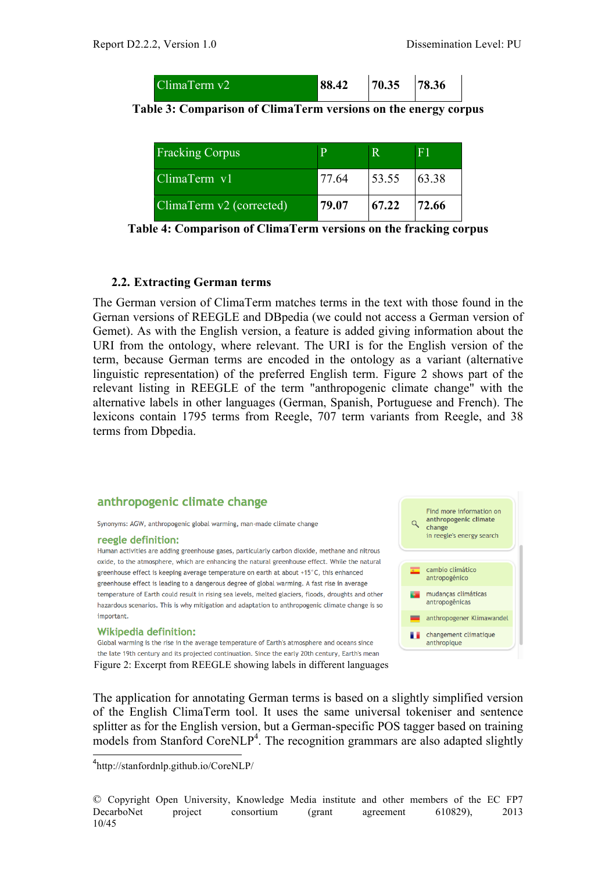| ClimaTerm v2 | 88.42 | 70.35 | 78.36 |  |
|--------------|-------|-------|-------|--|
|--------------|-------|-------|-------|--|

| Table 3: Comparison of ClimaTerm versions on the energy corpus |  |  |  |
|----------------------------------------------------------------|--|--|--|
|                                                                |  |  |  |

| <b>Fracking Corpus</b>           | D     |       |       |
|----------------------------------|-------|-------|-------|
| $ClimaTerm$ $V1$                 | 77.64 | 53.55 | 63.38 |
| ClimaTerm $\sqrt{2}$ (corrected) | 79.07 | 67.22 | 72.66 |

**Table 4: Comparison of ClimaTerm versions on the fracking corpus**

#### **2.2. Extracting German terms**

The German version of ClimaTerm matches terms in the text with those found in the Gernan versions of REEGLE and DBpedia (we could not access a German version of Gemet). As with the English version, a feature is added giving information about the URI from the ontology, where relevant. The URI is for the English version of the term, because German terms are encoded in the ontology as a variant (alternative linguistic representation) of the preferred English term. Figure 2 shows part of the relevant listing in REEGLE of the term "anthropogenic climate change" with the alternative labels in other languages (German, Spanish, Portuguese and French). The lexicons contain 1795 terms from Reegle, 707 term variants from Reegle, and 38 terms from Dbpedia.

#### anthropogenic climate change

Synonyms: AGW, anthropogenic global warming, man-made climate change

#### reegle definition:

Human activities are adding greenhouse gases, particularly carbon dioxide, methane and nitrous oxide, to the atmosphere, which are enhancing the natural greenhouse effect. While the natural greenhouse effect is keeping average temperature on earth at about +15°C, this enhanced greenhouse effect is leading to a dangerous degree of global warming. A fast rise in average temperature of Earth could result in rising sea levels, melted glaciers, floods, droughts and other hazardous scenarios. This is why mitigation and adaptation to anthropogenic climate change is so important.

#### **Wikipedia definition:**

Global warming is the rise in the average temperature of Earth's atmosphere and oceans since the late 19th century and its projected continuation. Since the early 20th century, Earth's mean Figure 2: Excerpt from REEGLE showing labels in different languages



The application for annotating German terms is based on a slightly simplified version of the English ClimaTerm tool. It uses the same universal tokeniser and sentence splitter as for the English version, but a German-specific POS tagger based on training models from Stanford CoreNLP<sup>4</sup>. The recognition grammars are also adapted slightly

4 http://stanfordnlp.github.io/CoreNLP/

<sup>©</sup> Copyright Open University, Knowledge Media institute and other members of the EC FP7 DecarboNet project consortium (grant agreement 610829), 2013 10/45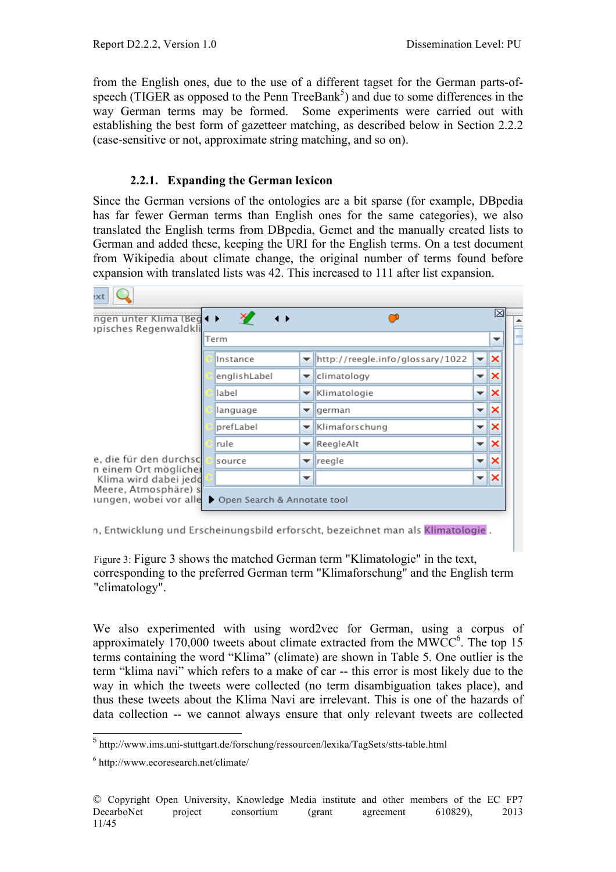from the English ones, due to the use of a different tagset for the German parts-ofspeech (TIGER as opposed to the Penn TreeBank<sup>5</sup>) and due to some differences in the way German terms may be formed. Some experiments were carried out with establishing the best form of gazetteer matching, as described below in Section 2.2.2 (case-sensitive or not, approximate string matching, and so on).

#### **2.2.1. Expanding the German lexicon**

Since the German versions of the ontologies are a bit sparse (for example, DBpedia has far fewer German terms than English ones for the same categories), we also translated the English terms from DBpedia, Gemet and the manually created lists to German and added these, keeping the URI for the English terms. On a test document from Wikipedia about climate change, the original number of terms found before expansion with translated lists was 42. This increased to 111 after list expansion.

| ngen unter Klima (Beg < ><br>pisches Regenwaldkli | $\leftrightarrow$           |                          |                                  |                          | ×  |
|---------------------------------------------------|-----------------------------|--------------------------|----------------------------------|--------------------------|----|
|                                                   | Term                        |                          |                                  |                          | ▼  |
|                                                   | Instance                    | ▼                        | http://reegle.info/glossary/1022 | $\overline{\phantom{a}}$ | ⋉  |
|                                                   | englishLabel                | ▼                        | climatology                      | $\overline{\phantom{0}}$ | ×  |
|                                                   | label                       | ▼                        | Klimatologie                     | $\overline{\phantom{a}}$ | ×  |
|                                                   | language                    | ▼                        | lgerman                          | $\overline{\phantom{a}}$ | Iх |
|                                                   | prefLabel                   | ▼                        | Klimaforschung                   | ÷                        | ×  |
|                                                   | rule                        | $\overline{\phantom{a}}$ | ReegleAlt                        | $\overline{\phantom{a}}$ | ×  |
| e, die für den durchsc<br>n einem Ort möglicher   | source                      | ▼                        | reegle                           | $\overline{\phantom{a}}$ | ıх |
| Klima wird dabei jedo                             |                             | $\overline{\phantom{a}}$ |                                  | $\overline{\phantom{0}}$ | ∣× |
| Meere, Atmosphäre) s<br>ungen, wobei vor alle     | Open Search & Annotate tool |                          |                                  |                          |    |

n, Entwicklung und Erscheinungsbild erforscht, bezeichnet man als Klimatologie.

Figure 3: Figure 3 shows the matched German term "Klimatologie" in the text, corresponding to the preferred German term "Klimaforschung" and the English term "climatology".

We also experimented with using word2vec for German, using a corpus of approximately 170,000 tweets about climate extracted from the MWCC $<sup>6</sup>$ . The top 15</sup> terms containing the word "Klima" (climate) are shown in Table 5. One outlier is the term "klima navi" which refers to a make of car -- this error is most likely due to the way in which the tweets were collected (no term disambiguation takes place), and thus these tweets about the Klima Navi are irrelevant. This is one of the hazards of data collection -- we cannot always ensure that only relevant tweets are collected

<sup>5</sup> http://www.ims.uni-stuttgart.de/forschung/ressourcen/lexika/TagSets/stts-table.html

<sup>6</sup> http://www.ecoresearch.net/climate/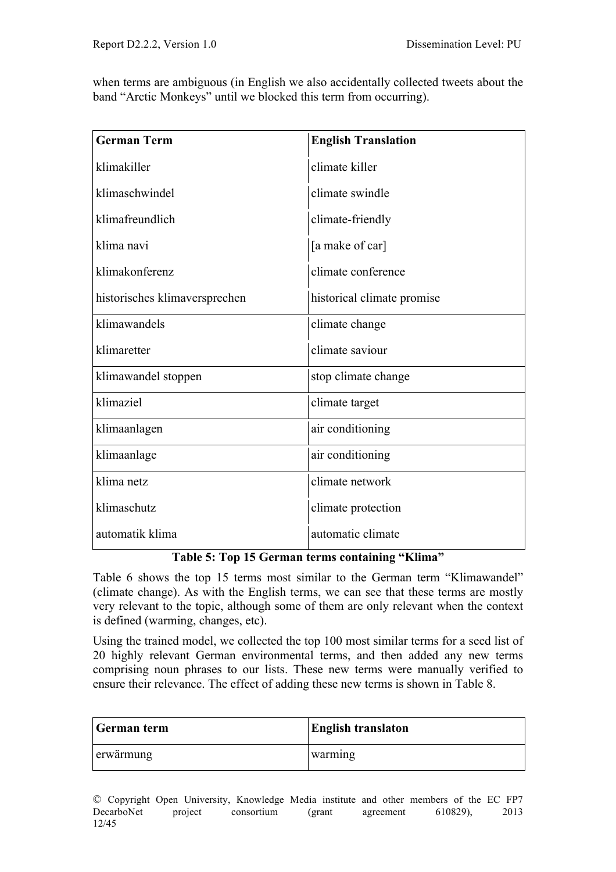when terms are ambiguous (in English we also accidentally collected tweets about the band "Arctic Monkeys" until we blocked this term from occurring).

| <b>German Term</b>            | <b>English Translation</b> |  |
|-------------------------------|----------------------------|--|
| klimakiller                   | climate killer             |  |
| klimaschwindel                | climate swindle            |  |
| klimafreundlich               | climate-friendly           |  |
| klima navi                    | [a make of car]            |  |
| klimakonferenz                | climate conference         |  |
| historisches klimaversprechen | historical climate promise |  |
| klimawandels                  | climate change             |  |
| klimaretter                   | climate saviour            |  |
| klimawandel stoppen           | stop climate change        |  |
| klimaziel                     | climate target             |  |
| klimaanlagen                  | air conditioning           |  |
| klimaanlage                   | air conditioning           |  |
| klima netz                    | climate network            |  |
| klimaschutz                   | climate protection         |  |
| automatik klima               | automatic climate          |  |

#### **Table 5: Top 15 German terms containing "Klima"**

Table 6 shows the top 15 terms most similar to the German term "Klimawandel" (climate change). As with the English terms, we can see that these terms are mostly very relevant to the topic, although some of them are only relevant when the context is defined (warming, changes, etc).

Using the trained model, we collected the top 100 most similar terms for a seed list of 20 highly relevant German environmental terms, and then added any new terms comprising noun phrases to our lists. These new terms were manually verified to ensure their relevance. The effect of adding these new terms is shown in Table 8.

| German term | <b>English translaton</b> |  |  |
|-------------|---------------------------|--|--|
| erwärmung   | warming                   |  |  |

© Copyright Open University, Knowledge Media institute and other members of the EC FP7 project consortium (grant agreement 610829), 2013 12/45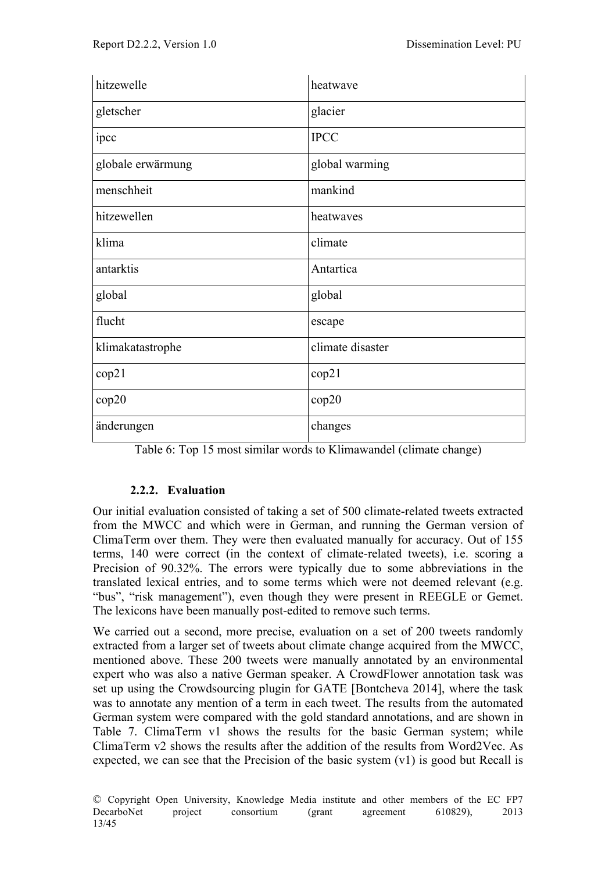| hitzewelle        | heatwave         |
|-------------------|------------------|
| gletscher         | glacier          |
| ipcc              | <b>IPCC</b>      |
| globale erwärmung | global warming   |
| menschheit        | mankind          |
| hitzewellen       | heatwaves        |
| klima             | climate          |
| antarktis         | Antartica        |
| global            | global           |
| flucht            | escape           |
| klimakatastrophe  | climate disaster |
| cop21             | cop21            |
| cop20             | cop20            |
| änderungen        | changes          |

| Table 6: Top 15 most similar words to Klimawandel (climate change) |
|--------------------------------------------------------------------|
|--------------------------------------------------------------------|

# **2.2.2. Evaluation**

Our initial evaluation consisted of taking a set of 500 climate-related tweets extracted from the MWCC and which were in German, and running the German version of ClimaTerm over them. They were then evaluated manually for accuracy. Out of 155 terms, 140 were correct (in the context of climate-related tweets), i.e. scoring a Precision of 90.32%. The errors were typically due to some abbreviations in the translated lexical entries, and to some terms which were not deemed relevant (e.g. "bus", "risk management"), even though they were present in REEGLE or Gemet. The lexicons have been manually post-edited to remove such terms.

We carried out a second, more precise, evaluation on a set of 200 tweets randomly extracted from a larger set of tweets about climate change acquired from the MWCC, mentioned above. These 200 tweets were manually annotated by an environmental expert who was also a native German speaker. A CrowdFlower annotation task was set up using the Crowdsourcing plugin for GATE [Bontcheva 2014], where the task was to annotate any mention of a term in each tweet. The results from the automated German system were compared with the gold standard annotations, and are shown in Table 7. ClimaTerm v1 shows the results for the basic German system; while ClimaTerm v2 shows the results after the addition of the results from Word2Vec. As expected, we can see that the Precision of the basic system (v1) is good but Recall is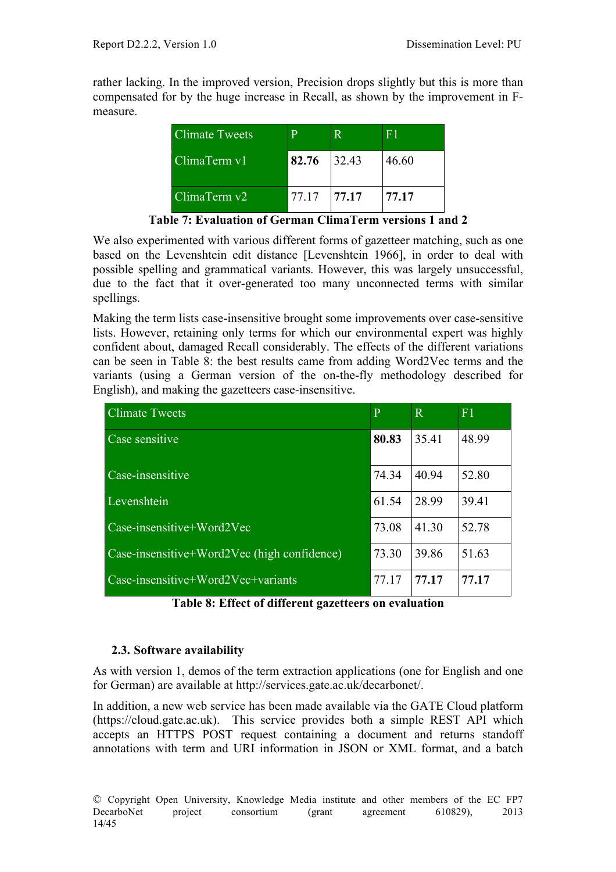rather lacking. In the improved version, Precision drops slightly but this is more than compensated for by the huge increase in Recall, as shown by the improvement in Fmeasure.

| <b>Climate Tweets</b> | $\mathbf p$ |       | F 1   |
|-----------------------|-------------|-------|-------|
| ClimaTerm v1          | 82.76       | 32.43 | 46.60 |
| ClimaTerm v2          | 77.17       | 77.17 | 77.17 |

**Table 7: Evaluation of German ClimaTerm versions 1 and 2**

We also experimented with various different forms of gazetteer matching, such as one based on the Levenshtein edit distance [Levenshtein 1966], in order to deal with possible spelling and grammatical variants. However, this was largely unsuccessful, due to the fact that it over-generated too many unconnected terms with similar spellings.

Making the term lists case-insensitive brought some improvements over case-sensitive lists. However, retaining only terms for which our environmental expert was highly confident about, damaged Recall considerably. The effects of the different variations can be seen in Table 8: the best results came from adding Word2Vec terms and the variants (using a German version of the on-the-fly methodology described for English), and making the gazetteers case-insensitive.

| <b>Climate Tweets</b>                                     | $\overline{P}$ | $\overline{\mathbf{R}}$ | F <sub>1</sub> |
|-----------------------------------------------------------|----------------|-------------------------|----------------|
| Case sensitive                                            | 80.83          | 35.41                   | 48.99          |
| Case-insensitive                                          | 74.34          | 40.94                   | 52.80          |
| Levenshtein                                               | 61.54          | 28.99                   | 39.41          |
| Case-insensitive+Word2Vec                                 | 73.08          | 41.30                   | 52.78          |
| Case-insensitive+Word $\overline{2Vec}$ (high confidence) | 73.30          | 39.86                   | 51.63          |
| $Case-insensitive+Word2Vec+variants$                      | 77.17          | 77.17                   | 77.17          |

**Table 8: Effect of different gazetteers on evaluation**

# **2.3. Software availability**

As with version 1, demos of the term extraction applications (one for English and one for German) are available at http://services.gate.ac.uk/decarbonet/.

In addition, a new web service has been made available via the GATE Cloud platform (https://cloud.gate.ac.uk). This service provides both a simple REST API which accepts an HTTPS POST request containing a document and returns standoff annotations with term and URI information in JSON or XML format, and a batch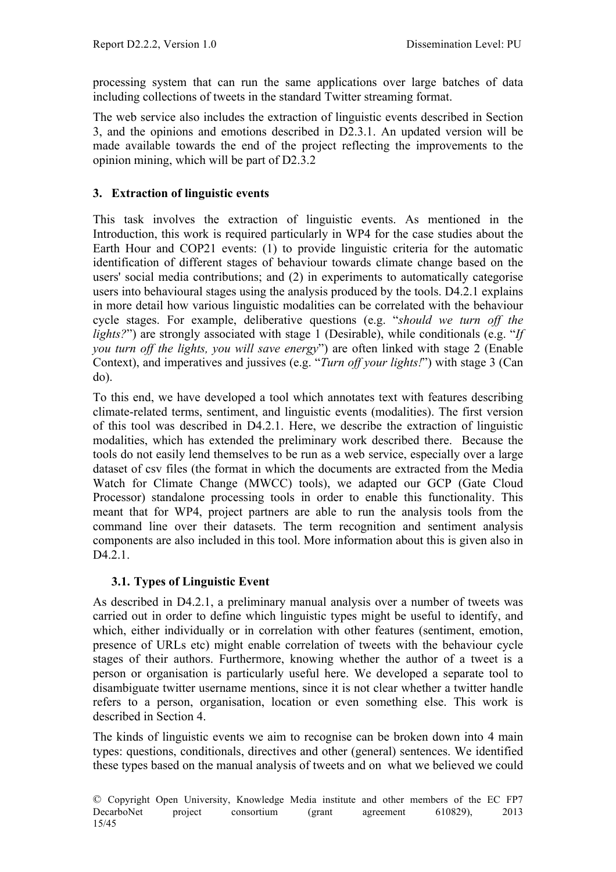processing system that can run the same applications over large batches of data including collections of tweets in the standard Twitter streaming format.

The web service also includes the extraction of linguistic events described in Section 3, and the opinions and emotions described in D2.3.1. An updated version will be made available towards the end of the project reflecting the improvements to the opinion mining, which will be part of D2.3.2

# **3. Extraction of linguistic events**

This task involves the extraction of linguistic events. As mentioned in the Introduction, this work is required particularly in WP4 for the case studies about the Earth Hour and COP21 events: (1) to provide linguistic criteria for the automatic identification of different stages of behaviour towards climate change based on the users' social media contributions; and (2) in experiments to automatically categorise users into behavioural stages using the analysis produced by the tools. D4.2.1 explains in more detail how various linguistic modalities can be correlated with the behaviour cycle stages. For example, deliberative questions (e.g. "*should we turn off the lights?*") are strongly associated with stage 1 (Desirable), while conditionals (e.g. "*If you turn off the lights, you will save energy*") are often linked with stage 2 (Enable Context), and imperatives and jussives (e.g. "*Turn off your lights!*") with stage 3 (Can do).

To this end, we have developed a tool which annotates text with features describing climate-related terms, sentiment, and linguistic events (modalities). The first version of this tool was described in D4.2.1. Here, we describe the extraction of linguistic modalities, which has extended the preliminary work described there. Because the tools do not easily lend themselves to be run as a web service, especially over a large dataset of csv files (the format in which the documents are extracted from the Media Watch for Climate Change (MWCC) tools), we adapted our GCP (Gate Cloud Processor) standalone processing tools in order to enable this functionality. This meant that for WP4, project partners are able to run the analysis tools from the command line over their datasets. The term recognition and sentiment analysis components are also included in this tool. More information about this is given also in D<sub>4.2.1</sub>.

# **3.1. Types of Linguistic Event**

As described in D4.2.1, a preliminary manual analysis over a number of tweets was carried out in order to define which linguistic types might be useful to identify, and which, either individually or in correlation with other features (sentiment, emotion, presence of URLs etc) might enable correlation of tweets with the behaviour cycle stages of their authors. Furthermore, knowing whether the author of a tweet is a person or organisation is particularly useful here. We developed a separate tool to disambiguate twitter username mentions, since it is not clear whether a twitter handle refers to a person, organisation, location or even something else. This work is described in Section 4.

The kinds of linguistic events we aim to recognise can be broken down into 4 main types: questions, conditionals, directives and other (general) sentences. We identified these types based on the manual analysis of tweets and on what we believed we could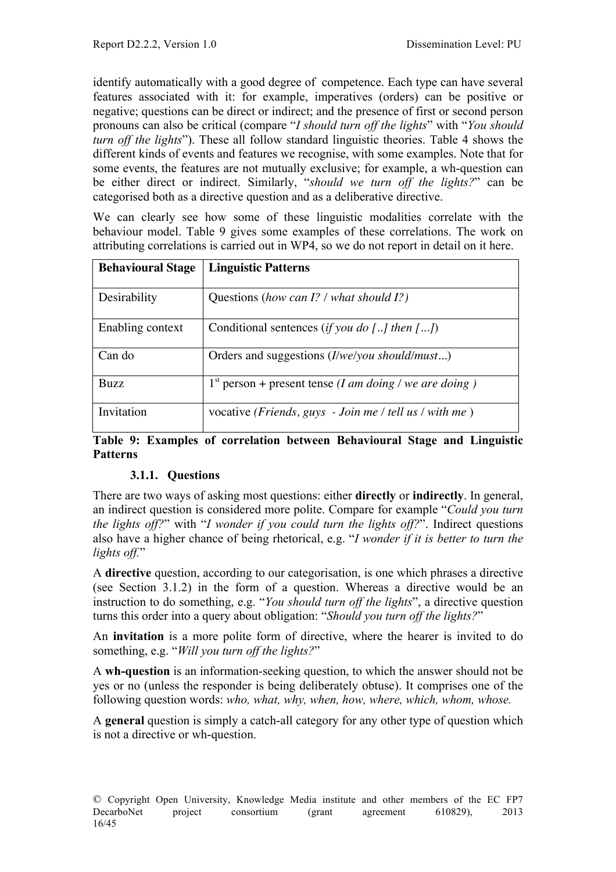identify automatically with a good degree of competence. Each type can have several features associated with it: for example, imperatives (orders) can be positive or negative; questions can be direct or indirect; and the presence of first or second person pronouns can also be critical (compare "*I should turn off the lights*" with "*You should turn off the lights*"). These all follow standard linguistic theories. Table 4 shows the different kinds of events and features we recognise, with some examples. Note that for some events, the features are not mutually exclusive; for example, a wh-question can be either direct or indirect. Similarly, "*should we turn off the lights?*" can be categorised both as a directive question and as a deliberative directive.

We can clearly see how some of these linguistic modalities correlate with the behaviour model. Table 9 gives some examples of these correlations. The work on attributing correlations is carried out in WP4, so we do not report in detail on it here.

| <b>Behavioural Stage</b> | <b>Linguistic Patterns</b>                                       |
|--------------------------|------------------------------------------------------------------|
| Desirability             | Questions (how can I? / what should I?)                          |
| Enabling context         | Conditional sentences (if you do [] then $[]$                    |
| Can do                   | Orders and suggestions ( <i>I/we/you should/must</i> )           |
| <b>Buzz</b>              | $1st$ person + present tense ( <i>I am doing</i> / we are doing) |
| Invitation               | vocative (Friends, guys - Join me / tell us / with me)           |

#### **Table 9: Examples of correlation between Behavioural Stage and Linguistic Patterns**

# **3.1.1. Questions**

There are two ways of asking most questions: either **directly** or **indirectly**. In general, an indirect question is considered more polite. Compare for example "*Could you turn the lights off?*" with "*I wonder if you could turn the lights off?*". Indirect questions also have a higher chance of being rhetorical, e.g. "*I wonder if it is better to turn the lights off.*"

A **directive** question, according to our categorisation, is one which phrases a directive (see Section 3.1.2) in the form of a question. Whereas a directive would be an instruction to do something, e.g. "*You should turn off the lights*", a directive question turns this order into a query about obligation: "*Should you turn off the lights?*"

An **invitation** is a more polite form of directive, where the hearer is invited to do something, e.g. "*Will you turn off the lights?*"

A **wh-question** is an information-seeking question, to which the answer should not be yes or no (unless the responder is being deliberately obtuse). It comprises one of the following question words: *who, what, why, when, how, where, which, whom, whose.*

A **general** question is simply a catch-all category for any other type of question which is not a directive or wh-question.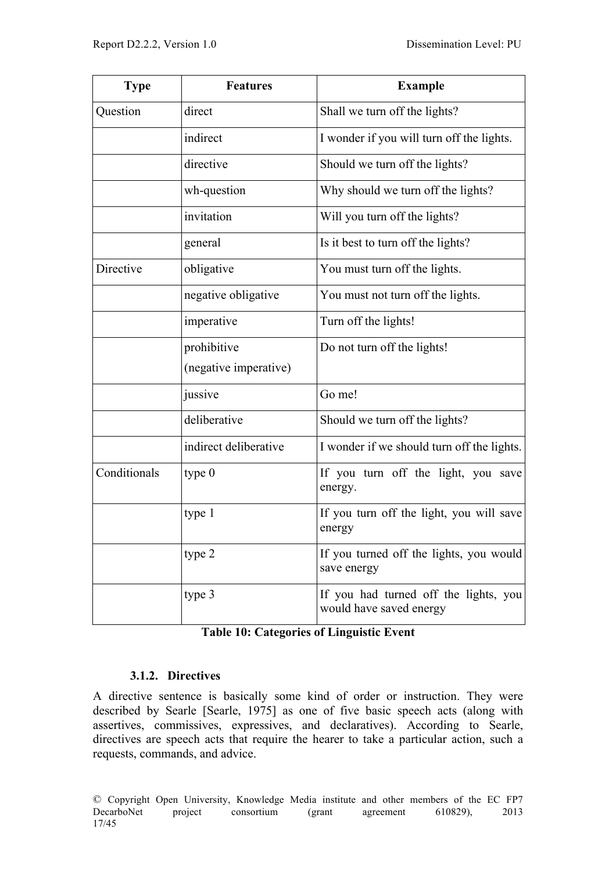| <b>Type</b>  | <b>Features</b>       | <b>Example</b>                                                   |
|--------------|-----------------------|------------------------------------------------------------------|
| Question     | direct                | Shall we turn off the lights?                                    |
|              | indirect              | I wonder if you will turn off the lights.                        |
|              | directive             | Should we turn off the lights?                                   |
|              | wh-question           | Why should we turn off the lights?                               |
|              | invitation            | Will you turn off the lights?                                    |
|              | general               | Is it best to turn off the lights?                               |
| Directive    | obligative            | You must turn off the lights.                                    |
|              | negative obligative   | You must not turn off the lights.                                |
|              | imperative            | Turn off the lights!                                             |
|              | prohibitive           | Do not turn off the lights!                                      |
|              | (negative imperative) |                                                                  |
|              | jussive               | Go me!                                                           |
|              | deliberative          | Should we turn off the lights?                                   |
|              | indirect deliberative | I wonder if we should turn off the lights.                       |
| Conditionals | type $0$              | If you turn off the light, you save<br>energy.                   |
|              | type 1                | If you turn off the light, you will save<br>energy               |
|              | type 2                | If you turned off the lights, you would<br>save energy           |
|              | type 3                | If you had turned off the lights, you<br>would have saved energy |

|  |  | <b>Table 10: Categories of Linguistic Event</b> |  |
|--|--|-------------------------------------------------|--|
|--|--|-------------------------------------------------|--|

# **3.1.2. Directives**

A directive sentence is basically some kind of order or instruction. They were described by Searle [Searle, 1975] as one of five basic speech acts (along with assertives, commissives, expressives, and declaratives). According to Searle, directives are speech acts that require the hearer to take a particular action, such a requests, commands, and advice.

© Copyright Open University, Knowledge Media institute and other members of the EC FP7 consortium (grant agreement 610829), 17/45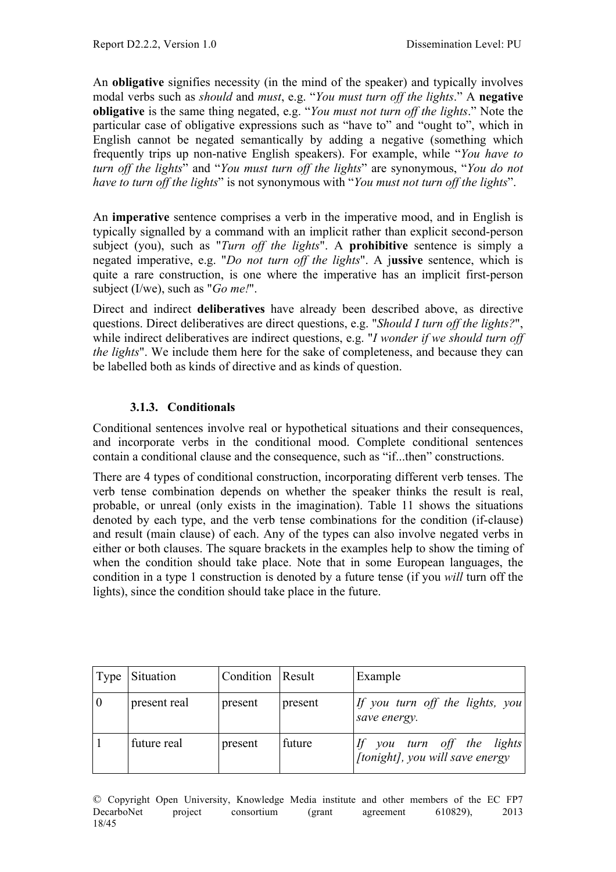An **obligative** signifies necessity (in the mind of the speaker) and typically involves modal verbs such as *should* and *must*, e.g. "*You must turn off the lights*." A **negative obligative** is the same thing negated, e.g. "*You must not turn off the lights*." Note the particular case of obligative expressions such as "have to" and "ought to", which in English cannot be negated semantically by adding a negative (something which frequently trips up non-native English speakers). For example, while "*You have to turn off the lights*" and "*You must turn off the lights*" are synonymous, "*You do not have to turn off the lights*" is not synonymous with "*You must not turn off the lights*".

An **imperative** sentence comprises a verb in the imperative mood, and in English is typically signalled by a command with an implicit rather than explicit second-person subject (you), such as "*Turn off the lights*". A **prohibitive** sentence is simply a negated imperative, e.g. "*Do not turn off the lights*". A j**ussive** sentence, which is quite a rare construction, is one where the imperative has an implicit first-person subject (I/we), such as "*Go me!*".

Direct and indirect **deliberatives** have already been described above, as directive questions. Direct deliberatives are direct questions, e.g. "*Should I turn off the lights?*", while indirect deliberatives are indirect questions, e.g. "*I wonder if we should turn off the lights*". We include them here for the sake of completeness, and because they can be labelled both as kinds of directive and as kinds of question.

# **3.1.3. Conditionals**

Conditional sentences involve real or hypothetical situations and their consequences, and incorporate verbs in the conditional mood. Complete conditional sentences contain a conditional clause and the consequence, such as "if...then" constructions.

There are 4 types of conditional construction, incorporating different verb tenses. The verb tense combination depends on whether the speaker thinks the result is real, probable, or unreal (only exists in the imagination). Table 11 shows the situations denoted by each type, and the verb tense combinations for the condition (if-clause) and result (main clause) of each. Any of the types can also involve negated verbs in either or both clauses. The square brackets in the examples help to show the timing of when the condition should take place. Note that in some European languages, the condition in a type 1 construction is denoted by a future tense (if you *will* turn off the lights), since the condition should take place in the future.

| Type | Situation    | Condition Result |         | Example                                                       |
|------|--------------|------------------|---------|---------------------------------------------------------------|
| 0    | present real | present          | present | If you turn off the lights, you<br>save energy.               |
|      | future real  | present          | future  | If you turn off the lights<br>[tonight], you will save energy |

© Copyright Open University, Knowledge Media institute and other members of the EC FP7 DecarboNet project consortium (grant agreement 610829), 2013 18/45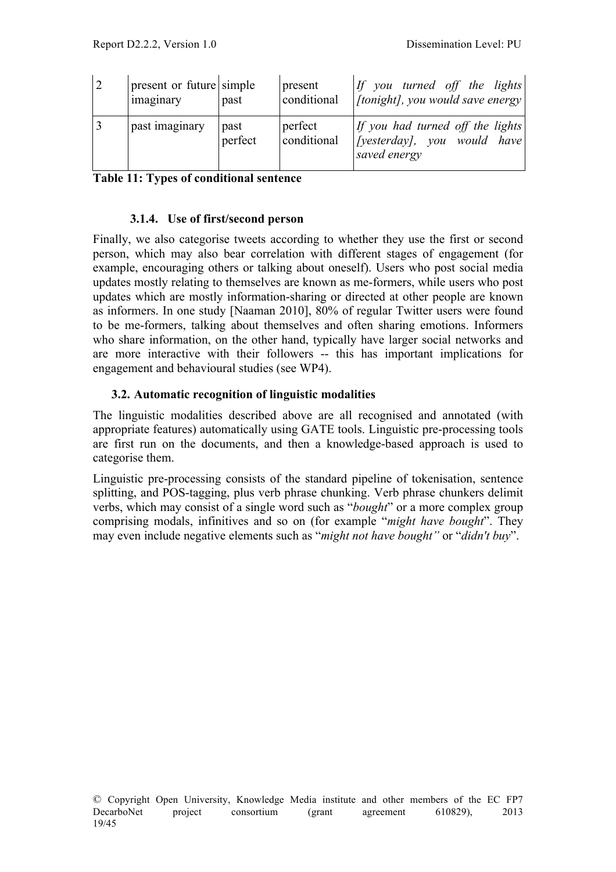| $\sqrt{2}$ | present or future simple<br>imaginary | past            | present<br>conditional | If you turned off the lights<br>[tonight], you would save energy] |
|------------|---------------------------------------|-----------------|------------------------|-------------------------------------------------------------------|
|            | past imaginary                        | past<br>perfect | perfect<br>conditional | If you had turned off the lights<br>saved energy                  |

**Table 11: Types of conditional sentence**

#### **3.1.4. Use of first/second person**

Finally, we also categorise tweets according to whether they use the first or second person, which may also bear correlation with different stages of engagement (for example, encouraging others or talking about oneself). Users who post social media updates mostly relating to themselves are known as me-formers, while users who post updates which are mostly information-sharing or directed at other people are known as informers. In one study [Naaman 2010], 80% of regular Twitter users were found to be me-formers, talking about themselves and often sharing emotions. Informers who share information, on the other hand, typically have larger social networks and are more interactive with their followers -- this has important implications for engagement and behavioural studies (see WP4).

#### **3.2. Automatic recognition of linguistic modalities**

The linguistic modalities described above are all recognised and annotated (with appropriate features) automatically using GATE tools. Linguistic pre-processing tools are first run on the documents, and then a knowledge-based approach is used to categorise them.

Linguistic pre-processing consists of the standard pipeline of tokenisation, sentence splitting, and POS-tagging, plus verb phrase chunking. Verb phrase chunkers delimit verbs, which may consist of a single word such as "*bought*" or a more complex group comprising modals, infinitives and so on (for example "*might have bought*". They may even include negative elements such as "*might not have bought"* or "*didn't buy*".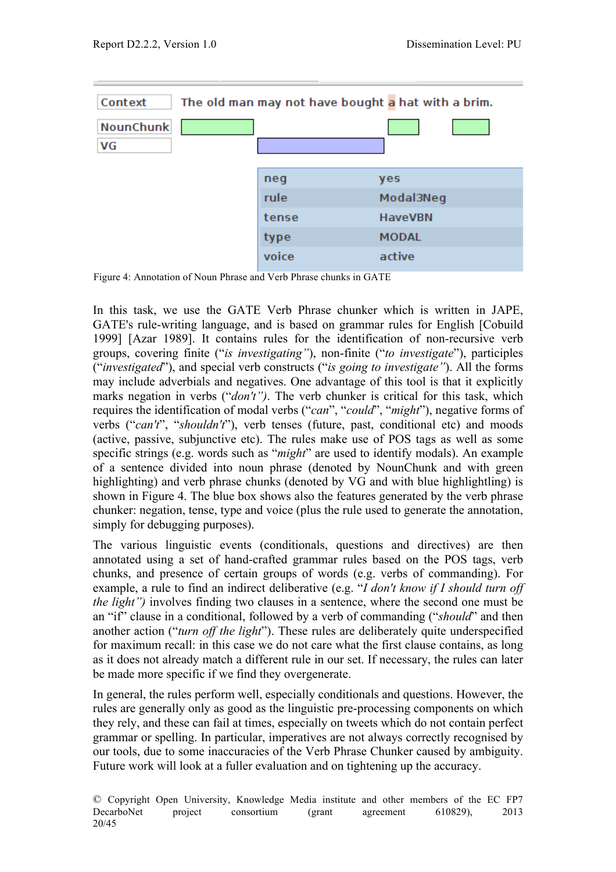

Figure 4: Annotation of Noun Phrase and Verb Phrase chunks in GATE

In this task, we use the GATE Verb Phrase chunker which is written in JAPE, GATE's rule-writing language, and is based on grammar rules for English [Cobuild 1999] [Azar 1989]. It contains rules for the identification of non-recursive verb groups, covering finite ("*is investigating"*), non-finite ("*to investigate*"), participles ("*investigated*"), and special verb constructs ("*is going to investigate"*). All the forms may include adverbials and negatives. One advantage of this tool is that it explicitly marks negation in verbs ("*don't")*. The verb chunker is critical for this task, which requires the identification of modal verbs ("*can*", "*could*", "*might*"), negative forms of verbs ("*can't*", "*shouldn't*"), verb tenses (future, past, conditional etc) and moods (active, passive, subjunctive etc). The rules make use of POS tags as well as some specific strings (e.g. words such as "*might*" are used to identify modals). An example of a sentence divided into noun phrase (denoted by NounChunk and with green highlighting) and verb phrase chunks (denoted by VG and with blue highlightling) is shown in Figure 4. The blue box shows also the features generated by the verb phrase chunker: negation, tense, type and voice (plus the rule used to generate the annotation, simply for debugging purposes).

The various linguistic events (conditionals, questions and directives) are then annotated using a set of hand-crafted grammar rules based on the POS tags, verb chunks, and presence of certain groups of words (e.g. verbs of commanding). For example, a rule to find an indirect deliberative (e.g. "*I don't know if I should turn off the light")* involves finding two clauses in a sentence, where the second one must be an "if" clause in a conditional, followed by a verb of commanding ("*should*" and then another action ("*turn off the light*"). These rules are deliberately quite underspecified for maximum recall: in this case we do not care what the first clause contains, as long as it does not already match a different rule in our set. If necessary, the rules can later be made more specific if we find they overgenerate.

In general, the rules perform well, especially conditionals and questions. However, the rules are generally only as good as the linguistic pre-processing components on which they rely, and these can fail at times, especially on tweets which do not contain perfect grammar or spelling. In particular, imperatives are not always correctly recognised by our tools, due to some inaccuracies of the Verb Phrase Chunker caused by ambiguity. Future work will look at a fuller evaluation and on tightening up the accuracy.

<sup>©</sup> Copyright Open University, Knowledge Media institute and other members of the EC FP7 DecarboNet project consortium (grant agreement 610829), 2013 20/45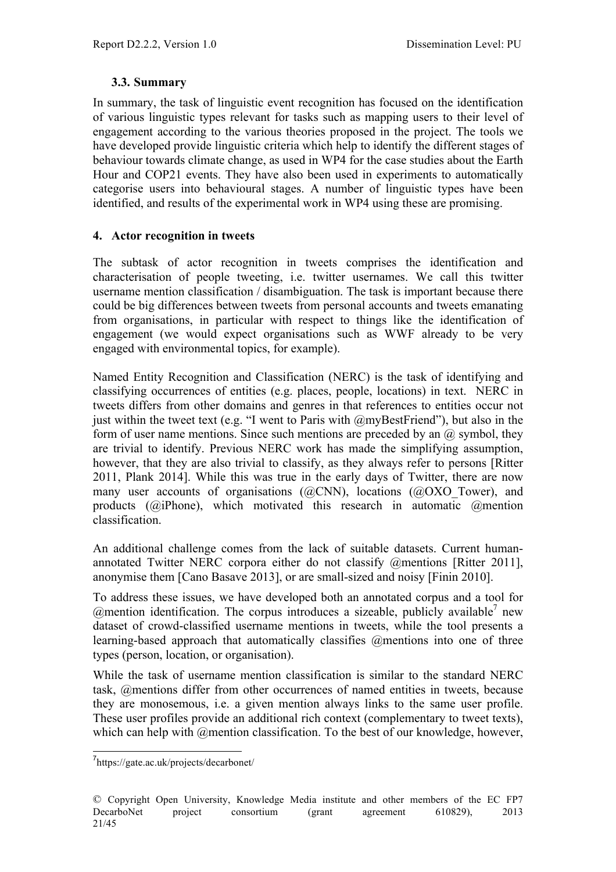#### **3.3. Summary**

In summary, the task of linguistic event recognition has focused on the identification of various linguistic types relevant for tasks such as mapping users to their level of engagement according to the various theories proposed in the project. The tools we have developed provide linguistic criteria which help to identify the different stages of behaviour towards climate change, as used in WP4 for the case studies about the Earth Hour and COP21 events. They have also been used in experiments to automatically categorise users into behavioural stages. A number of linguistic types have been identified, and results of the experimental work in WP4 using these are promising.

#### **4. Actor recognition in tweets**

The subtask of actor recognition in tweets comprises the identification and characterisation of people tweeting, i.e. twitter usernames. We call this twitter username mention classification / disambiguation. The task is important because there could be big differences between tweets from personal accounts and tweets emanating from organisations, in particular with respect to things like the identification of engagement (we would expect organisations such as WWF already to be very engaged with environmental topics, for example).

Named Entity Recognition and Classification (NERC) is the task of identifying and classifying occurrences of entities (e.g. places, people, locations) in text. NERC in tweets differs from other domains and genres in that references to entities occur not just within the tweet text (e.g. "I went to Paris with  $@myBestFinal"$ ), but also in the form of user name mentions. Since such mentions are preceded by an  $\omega$  symbol, they are trivial to identify. Previous NERC work has made the simplifying assumption, however, that they are also trivial to classify, as they always refer to persons [Ritter 2011, Plank 2014]. While this was true in the early days of Twitter, there are now many user accounts of organisations (@CNN), locations (@OXO\_Tower), and products (@iPhone), which motivated this research in automatic @mention classification.

An additional challenge comes from the lack of suitable datasets. Current humanannotated Twitter NERC corpora either do not classify @mentions [Ritter 2011], anonymise them [Cano Basave 2013], or are small-sized and noisy [Finin 2010].

To address these issues, we have developed both an annotated corpus and a tool for @mention identification. The corpus introduces a sizeable, publicly available<sup>7</sup> new dataset of crowd-classified username mentions in tweets, while the tool presents a learning-based approach that automatically classifies @mentions into one of three types (person, location, or organisation).

While the task of username mention classification is similar to the standard NERC task, @mentions differ from other occurrences of named entities in tweets, because they are monosemous, i.e. a given mention always links to the same user profile. These user profiles provide an additional rich context (complementary to tweet texts), which can help with @mention classification. To the best of our knowledge, however,

7 https://gate.ac.uk/projects/decarbonet/

<sup>©</sup> Copyright Open University, Knowledge Media institute and other members of the EC FP7 DecarboNet project consortium (grant agreement 610829), 2013 21/45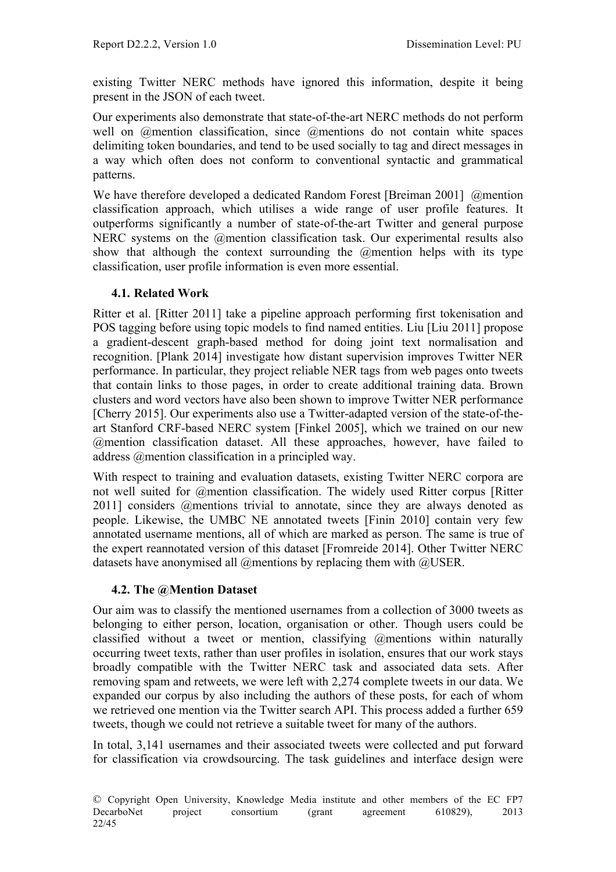existing Twitter NERC methods have ignored this information, despite it being present in the JSON of each tweet.

Our experiments also demonstrate that state-of-the-art NERC methods do not perform well on *@mention classification*, since *@mentions* do not contain white spaces delimiting token boundaries, and tend to be used socially to tag and direct messages in a way which often does not conform to conventional syntactic and grammatical patterns.

We have therefore developed a dedicated Random Forest [Breiman 2001] @mention classification approach, which utilises a wide range of user profile features. It outperforms significantly a number of state-of-the-art Twitter and general purpose NERC systems on the @mention classification task. Our experimental results also show that although the context surrounding the  $\omega$  mention helps with its type classification, user profile information is even more essential.

# **4.1. Related Work**

Ritter et al. [Ritter 2011] take a pipeline approach performing first tokenisation and POS tagging before using topic models to find named entities. Liu [Liu 2011] propose a gradient-descent graph-based method for doing joint text normalisation and recognition. [Plank 2014] investigate how distant supervision improves Twitter NER performance. In particular, they project reliable NER tags from web pages onto tweets that contain links to those pages, in order to create additional training data. Brown clusters and word vectors have also been shown to improve Twitter NER performance [Cherry 2015]. Our experiments also use a Twitter-adapted version of the state-of-theart Stanford CRF-based NERC system [Finkel 2005], which we trained on our new @mention classification dataset. All these approaches, however, have failed to address @mention classification in a principled way.

With respect to training and evaluation datasets, existing Twitter NERC corpora are not well suited for @mention classification. The widely used Ritter corpus [Ritter 2011] considers @mentions trivial to annotate, since they are always denoted as people. Likewise, the UMBC NE annotated tweets [Finin 2010] contain very few annotated username mentions, all of which are marked as person. The same is true of the expert reannotated version of this dataset [Fromreide 2014]. Other Twitter NERC datasets have anonymised all @mentions by replacing them with @USER.

#### **4.2. The @Mention Dataset**

Our aim was to classify the mentioned usernames from a collection of 3000 tweets as belonging to either person, location, organisation or other. Though users could be classified without a tweet or mention, classifying @mentions within naturally occurring tweet texts, rather than user profiles in isolation, ensures that our work stays broadly compatible with the Twitter NERC task and associated data sets. After removing spam and retweets, we were left with 2,274 complete tweets in our data. We expanded our corpus by also including the authors of these posts, for each of whom we retrieved one mention via the Twitter search API. This process added a further 659 tweets, though we could not retrieve a suitable tweet for many of the authors.

In total, 3,141 usernames and their associated tweets were collected and put forward for classification via crowdsourcing. The task guidelines and interface design were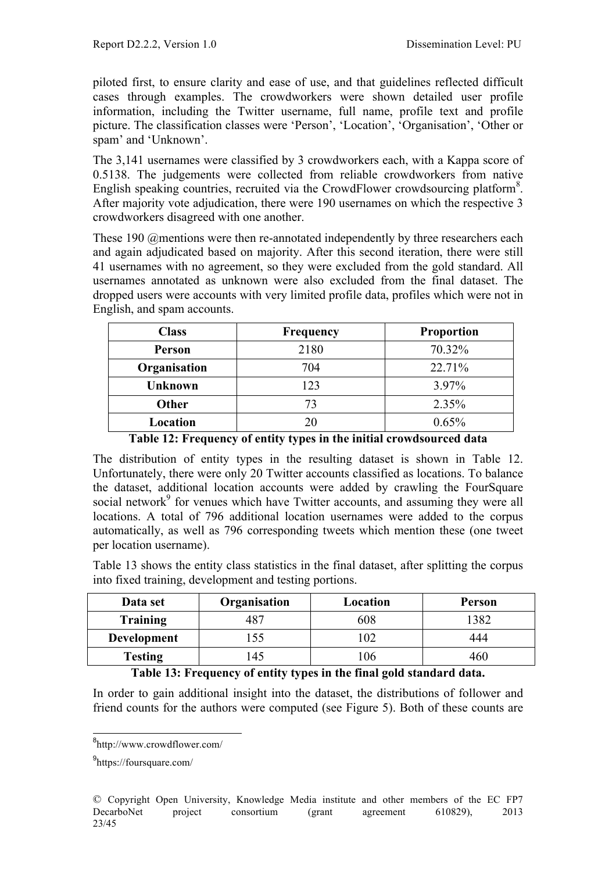piloted first, to ensure clarity and ease of use, and that guidelines reflected difficult cases through examples. The crowdworkers were shown detailed user profile information, including the Twitter username, full name, profile text and profile picture. The classification classes were 'Person', 'Location', 'Organisation', 'Other or spam' and 'Unknown'.

The 3,141 usernames were classified by 3 crowdworkers each, with a Kappa score of 0.5138. The judgements were collected from reliable crowdworkers from native English speaking countries, recruited via the CrowdFlower crowdsourcing platform<sup>8</sup>. After majority vote adjudication, there were 190 usernames on which the respective 3 crowdworkers disagreed with one another.

These 190 @mentions were then re-annotated independently by three researchers each and again adjudicated based on majority. After this second iteration, there were still 41 usernames with no agreement, so they were excluded from the gold standard. All usernames annotated as unknown were also excluded from the final dataset. The dropped users were accounts with very limited profile data, profiles which were not in English, and spam accounts.

| <b>Class</b>   | Frequency | <b>Proportion</b> |
|----------------|-----------|-------------------|
| Person         | 2180      | 70.32%            |
| Organisation   | 704       | 22.71%            |
| <b>Unknown</b> | 123       | 3.97%             |
| <b>Other</b>   | 73        | 2.35%             |
| Location       | 20        | 0.65%             |

**Table 12: Frequency of entity types in the initial crowdsourced data**

The distribution of entity types in the resulting dataset is shown in Table 12. Unfortunately, there were only 20 Twitter accounts classified as locations. To balance the dataset, additional location accounts were added by crawling the FourSquare social network<sup>9</sup> for venues which have Twitter accounts, and assuming they were all locations. A total of 796 additional location usernames were added to the corpus automatically, as well as 796 corresponding tweets which mention these (one tweet per location username).

Table 13 shows the entity class statistics in the final dataset, after splitting the corpus into fixed training, development and testing portions.

| Data set        | Organisation | Location | Person |
|-----------------|--------------|----------|--------|
| <b>Training</b> |              | 608      | .382   |
| Development     | .55          | 02       | 444    |
| <b>Testing</b>  | l 45         | 06       | 461    |

**Table 13: Frequency of entity types in the final gold standard data.**

In order to gain additional insight into the dataset, the distributions of follower and friend counts for the authors were computed (see Figure 5). Both of these counts are

<sup>8&</sup>lt;br>http://www.crowdflower.com/

<sup>&</sup>lt;sup>9</sup>https://foursquare.com/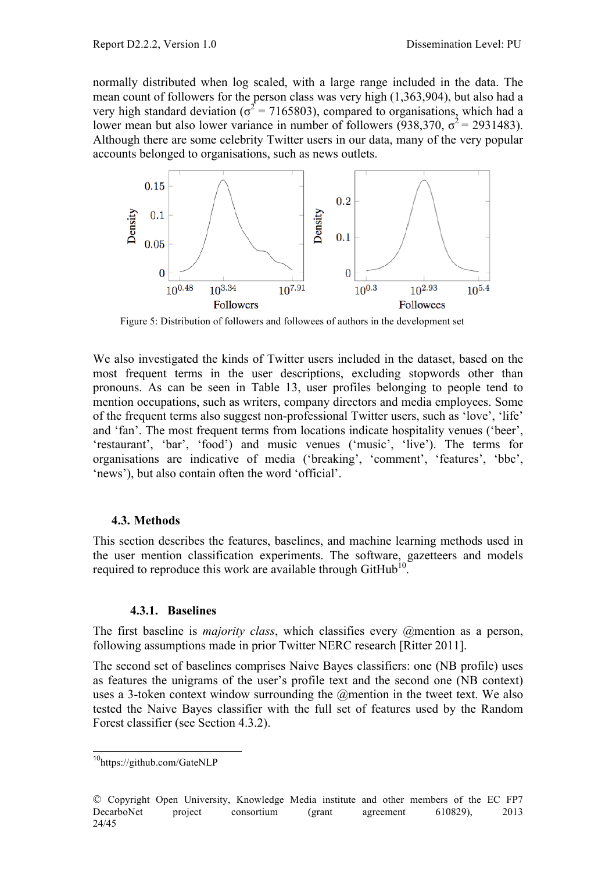normally distributed when log scaled, with a large range included in the data. The mean count of followers for the person class was very high (1,363,904), but also had a very high standard deviation ( $\sigma^2$  = 7165803), compared to organisations, which had a lower mean but also lower variance in number of followers (938,370,  $\sigma^2$  = 2931483). Although there are some celebrity Twitter users in our data, many of the very popular accounts belonged to organisations, such as news outlets.



Figure 5: Distribution of followers and followees of authors in the development set

We also investigated the kinds of Twitter users included in the dataset, based on the most frequent terms in the user descriptions, excluding stopwords other than pronouns. As can be seen in Table 13, user profiles belonging to people tend to mention occupations, such as writers, company directors and media employees. Some of the frequent terms also suggest non-professional Twitter users, such as 'love', 'life' and 'fan'. The most frequent terms from locations indicate hospitality venues ('beer', 'restaurant', 'bar', 'food') and music venues ('music', 'live'). The terms for organisations are indicative of media ('breaking', 'comment', 'features', 'bbc', 'news'), but also contain often the word 'official'.

#### **4.3. Methods**

This section describes the features, baselines, and machine learning methods used in the user mention classification experiments. The software, gazetteers and models required to reproduce this work are available through GitHub<sup>10</sup>.

#### **4.3.1. Baselines**

The first baseline is *majority class*, which classifies every @mention as a person, following assumptions made in prior Twitter NERC research [Ritter 2011].

The second set of baselines comprises Naive Bayes classifiers: one (NB profile) uses as features the unigrams of the user's profile text and the second one (NB context) uses a 3-token context window surrounding the @mention in the tweet text. We also tested the Naive Bayes classifier with the full set of features used by the Random Forest classifier (see Section 4.3.2).

<sup>10</sup>https://github.com/GateNLP

<sup>©</sup> Copyright Open University, Knowledge Media institute and other members of the EC FP7 DecarboNet project consortium (grant agreement 610829), 2013 24/45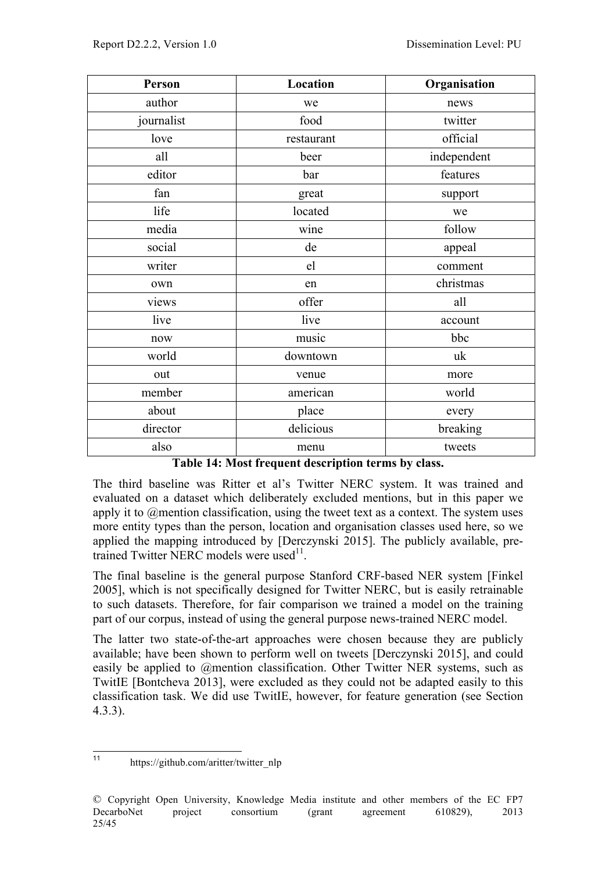| Person     | Location   | Organisation |
|------------|------------|--------------|
| author     | we         | news         |
| journalist | food       | twitter      |
| love       | restaurant | official     |
| all        | beer       | independent  |
| editor     | bar        | features     |
| fan        | great      | support      |
| life       | located    | we           |
| media      | wine       | follow       |
| social     | de         | appeal       |
| writer     | el         | comment      |
| own        | en         | christmas    |
| views      | offer      | all          |
| live       | live       | account      |
| now        | music      | bbc          |
| world      | downtown   | uk           |
| out        | venue      | more         |
| member     | american   | world        |
| about      | place      | every        |
| director   | delicious  | breaking     |
| also       | menu       | tweets       |

| Table 14: Most frequent description terms by class. |  |  |
|-----------------------------------------------------|--|--|
|-----------------------------------------------------|--|--|

The third baseline was Ritter et al's Twitter NERC system. It was trained and evaluated on a dataset which deliberately excluded mentions, but in this paper we apply it to @mention classification, using the tweet text as a context. The system uses more entity types than the person, location and organisation classes used here, so we applied the mapping introduced by [Derczynski 2015]. The publicly available, pretrained Twitter NERC models were used $11$ .

The final baseline is the general purpose Stanford CRF-based NER system [Finkel 2005], which is not specifically designed for Twitter NERC, but is easily retrainable to such datasets. Therefore, for fair comparison we trained a model on the training part of our corpus, instead of using the general purpose news-trained NERC model.

The latter two state-of-the-art approaches were chosen because they are publicly available; have been shown to perform well on tweets [Derczynski 2015], and could easily be applied to @mention classification. Other Twitter NER systems, such as TwitIE [Bontcheva 2013], were excluded as they could not be adapted easily to this classification task. We did use TwitIE, however, for feature generation (see Section 4.3.3).

<sup>11</sup> https://github.com/aritter/twitter\_nlp

<sup>©</sup> Copyright Open University, Knowledge Media institute and other members of the EC FP7 DecarboNet project consortium (grant agreement 610829), 2013 25/45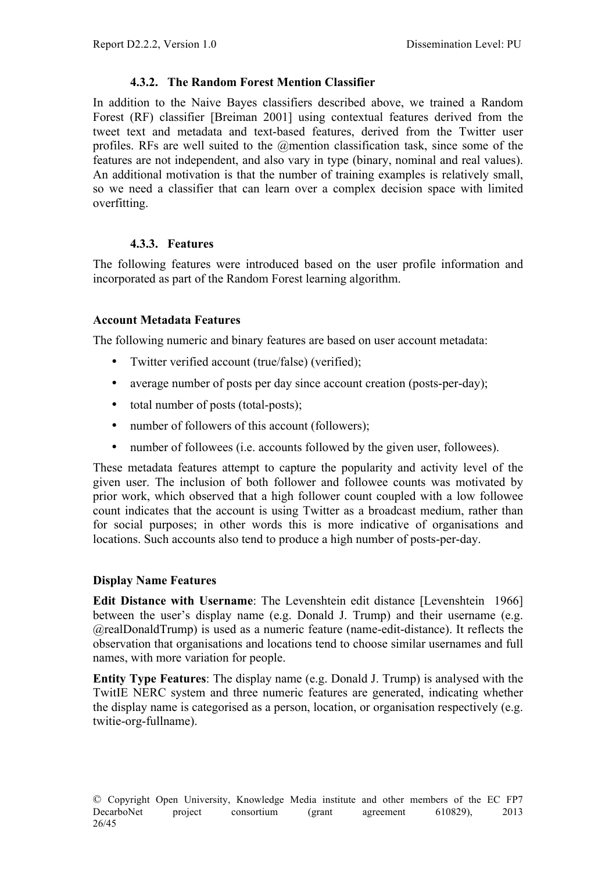# **4.3.2. The Random Forest Mention Classifier**

In addition to the Naive Bayes classifiers described above, we trained a Random Forest (RF) classifier [Breiman 2001] using contextual features derived from the tweet text and metadata and text-based features, derived from the Twitter user profiles. RFs are well suited to the @mention classification task, since some of the features are not independent, and also vary in type (binary, nominal and real values). An additional motivation is that the number of training examples is relatively small, so we need a classifier that can learn over a complex decision space with limited overfitting.

#### **4.3.3. Features**

The following features were introduced based on the user profile information and incorporated as part of the Random Forest learning algorithm.

#### **Account Metadata Features**

The following numeric and binary features are based on user account metadata:

- Twitter verified account (true/false) (verified);
- average number of posts per day since account creation (posts-per-day);
- total number of posts (total-posts):
- number of followers of this account (followers);
- number of followees (i.e. accounts followed by the given user, followees).

These metadata features attempt to capture the popularity and activity level of the given user. The inclusion of both follower and followee counts was motivated by prior work, which observed that a high follower count coupled with a low followee count indicates that the account is using Twitter as a broadcast medium, rather than for social purposes; in other words this is more indicative of organisations and locations. Such accounts also tend to produce a high number of posts-per-day.

#### **Display Name Features**

**Edit Distance with Username**: The Levenshtein edit distance [Levenshtein 1966] between the user's display name (e.g. Donald J. Trump) and their username (e.g. @realDonaldTrump) is used as a numeric feature (name-edit-distance). It reflects the observation that organisations and locations tend to choose similar usernames and full names, with more variation for people.

**Entity Type Features**: The display name (e.g. Donald J. Trump) is analysed with the TwitIE NERC system and three numeric features are generated, indicating whether the display name is categorised as a person, location, or organisation respectively (e.g. twitie-org-fullname).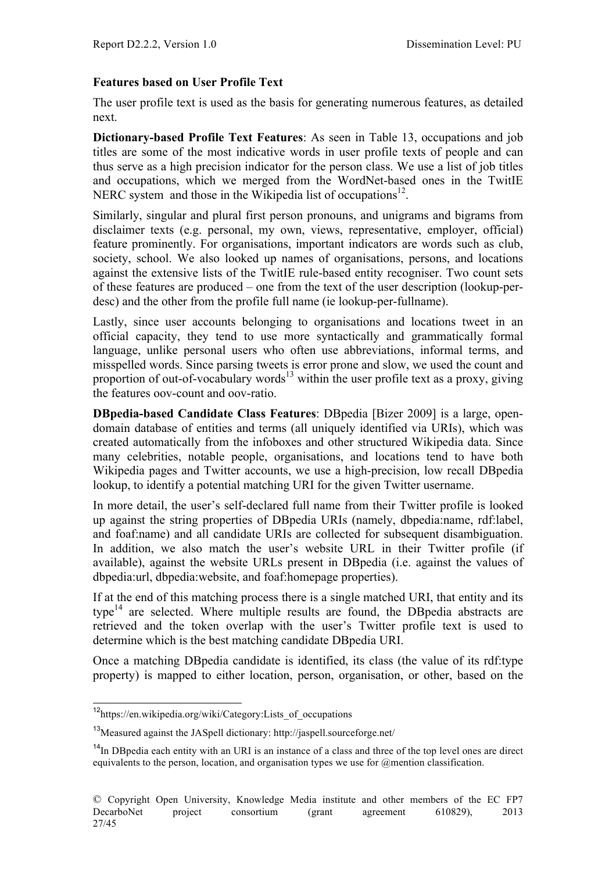#### **Features based on User Profile Text**

The user profile text is used as the basis for generating numerous features, as detailed next.

**Dictionary-based Profile Text Features**: As seen in Table 13, occupations and job titles are some of the most indicative words in user profile texts of people and can thus serve as a high precision indicator for the person class. We use a list of job titles and occupations, which we merged from the WordNet-based ones in the TwitIE NERC system and those in the Wikipedia list of occupations<sup>12</sup>.

Similarly, singular and plural first person pronouns, and unigrams and bigrams from disclaimer texts (e.g. personal, my own, views, representative, employer, official) feature prominently. For organisations, important indicators are words such as club, society, school. We also looked up names of organisations, persons, and locations against the extensive lists of the TwitIE rule-based entity recogniser. Two count sets of these features are produced – one from the text of the user description (lookup-perdesc) and the other from the profile full name (ie lookup-per-fullname).

Lastly, since user accounts belonging to organisations and locations tweet in an official capacity, they tend to use more syntactically and grammatically formal language, unlike personal users who often use abbreviations, informal terms, and misspelled words. Since parsing tweets is error prone and slow, we used the count and proportion of out-of-vocabulary words<sup>13</sup> within the user profile text as a proxy, giving the features oov-count and oov-ratio.

**DBpedia-based Candidate Class Features**: DBpedia [Bizer 2009] is a large, opendomain database of entities and terms (all uniquely identified via URIs), which was created automatically from the infoboxes and other structured Wikipedia data. Since many celebrities, notable people, organisations, and locations tend to have both Wikipedia pages and Twitter accounts, we use a high-precision, low recall DBpedia lookup, to identify a potential matching URI for the given Twitter username.

In more detail, the user's self-declared full name from their Twitter profile is looked up against the string properties of DBpedia URIs (namely, dbpedia:name, rdf:label, and foaf:name) and all candidate URIs are collected for subsequent disambiguation. In addition, we also match the user's website URL in their Twitter profile (if available), against the website URLs present in DBpedia (i.e. against the values of dbpedia:url, dbpedia:website, and foaf:homepage properties).

If at the end of this matching process there is a single matched URI, that entity and its  $t$ vpe $14$  are selected. Where multiple results are found, the DB pedia abstracts are retrieved and the token overlap with the user's Twitter profile text is used to determine which is the best matching candidate DBpedia URI.

Once a matching DBpedia candidate is identified, its class (the value of its rdf:type property) is mapped to either location, person, organisation, or other, based on the

<sup>&</sup>lt;sup>12</sup>https://en.wikipedia.org/wiki/Category:Lists\_of\_occupations

<sup>13</sup>Measured against the JASpell dictionary: http://jaspell.sourceforge.net/

 $14$ In DB pedia each entity with an URI is an instance of a class and three of the top level ones are direct equivalents to the person, location, and organisation types we use for @mention classification.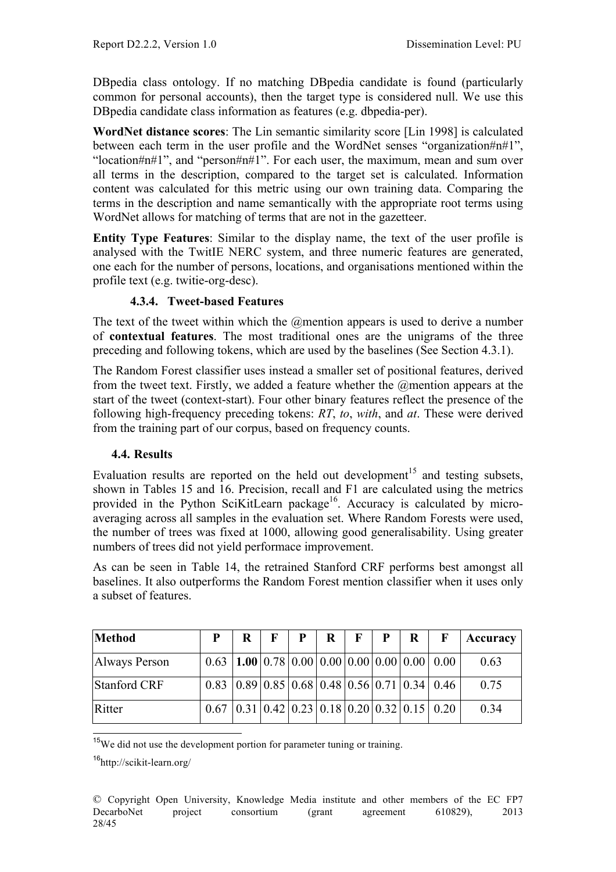DBpedia class ontology. If no matching DBpedia candidate is found (particularly common for personal accounts), then the target type is considered null. We use this DBpedia candidate class information as features (e.g. dbpedia-per).

**WordNet distance scores**: The Lin semantic similarity score [Lin 1998] is calculated between each term in the user profile and the WordNet senses "organization#n#1", "location#n#1", and "person#n#1". For each user, the maximum, mean and sum over all terms in the description, compared to the target set is calculated. Information content was calculated for this metric using our own training data. Comparing the terms in the description and name semantically with the appropriate root terms using WordNet allows for matching of terms that are not in the gazetteer.

**Entity Type Features**: Similar to the display name, the text of the user profile is analysed with the TwitIE NERC system, and three numeric features are generated, one each for the number of persons, locations, and organisations mentioned within the profile text (e.g. twitie-org-desc).

# **4.3.4. Tweet-based Features**

The text of the tweet within which the @mention appears is used to derive a number of **contextual features**. The most traditional ones are the unigrams of the three preceding and following tokens, which are used by the baselines (See Section 4.3.1).

The Random Forest classifier uses instead a smaller set of positional features, derived from the tweet text. Firstly, we added a feature whether the @mention appears at the start of the tweet (context-start). Four other binary features reflect the presence of the following high-frequency preceding tokens: *RT*, *to*, *with*, and *at*. These were derived from the training part of our corpus, based on frequency counts.

#### **4.4. Results**

Evaluation results are reported on the held out development<sup>15</sup> and testing subsets, shown in Tables 15 and 16. Precision, recall and F1 are calculated using the metrics provided in the Python SciKitLearn package<sup>16</sup>. Accuracy is calculated by microaveraging across all samples in the evaluation set. Where Random Forests were used, the number of trees was fixed at 1000, allowing good generalisability. Using greater numbers of trees did not yield performace improvement.

As can be seen in Table 14, the retrained Stanford CRF performs best amongst all baselines. It also outperforms the Random Forest mention classifier when it uses only a subset of features.

| Method        | P                                                              | R | $\mathbf{F}$ | P | $\mathbf{R}$ | F   P | $\mathbf{R}$ | $\mathbf{F}$                                                                           | Accuracy |
|---------------|----------------------------------------------------------------|---|--------------|---|--------------|-------|--------------|----------------------------------------------------------------------------------------|----------|
| Always Person | $0.63$   1.00   0.78   0.00   0.00   0.00   0.00   0.00   0.00 |   |              |   |              |       |              |                                                                                        | 0.63     |
| Stanford CRF  |                                                                |   |              |   |              |       |              | $0.83 \mid 0.89 \mid 0.85 \mid 0.68 \mid 0.48 \mid 0.56 \mid 0.71 \mid 0.34 \mid 0.46$ | 0.75     |
| Ritter        | $0.67$ 0.31 0.42 0.23 0.18 0.20 0.32 0.15 0.20                 |   |              |   |              |       |              |                                                                                        | 0.34     |

<sup>15</sup>We did not use the development portion for parameter tuning or training.

<sup>16</sup>http://scikit-learn.org/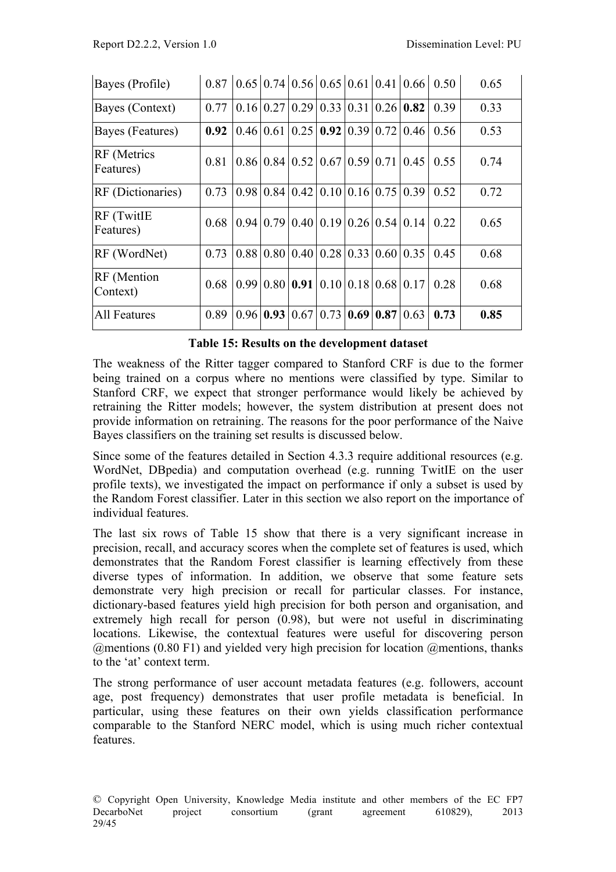| Bayes (Profile)                 | 0.87 |                     |                                 |             |      |                                           | $0.65 \mid 0.74 \mid 0.56 \mid 0.65 \mid 0.61 \mid 0.41 \mid 0.66 \mid 0.50$ | 0.65 |
|---------------------------------|------|---------------------|---------------------------------|-------------|------|-------------------------------------------|------------------------------------------------------------------------------|------|
| Bayes (Context)                 | 0.77 | 0.16 0.27           | 0.29                            |             |      | $0.33 \mid 0.31 \mid 0.26 \mid 0.82$      | 0.39                                                                         | 0.33 |
| Bayes (Features)                | 0.92 | $0.46 \,   \, 0.61$ | 0.25                            |             |      | $0.92 \mid 0.39 \mid 0.72 \mid 0.46 \mid$ | 0.56                                                                         | 0.53 |
| <b>RF</b> (Metrics<br>Features) | 0.81 | 0.86 0.84           | 0.52                            |             |      | $0.67$   0.59   0.71   0.45               | 0.55                                                                         | 0.74 |
| <b>RF</b> (Dictionaries)        | 0.73 |                     | $0.98 \mid 0.84 \mid 0.42 \mid$ |             |      | $0.10 \mid 0.16 \mid 0.75 \mid 0.39 \mid$ | 0.52                                                                         | 0.72 |
| <b>RF</b> (TwitIE<br>Features)  | 0.68 |                     | $0.94 \mid 0.79 \mid 0.40 \mid$ |             |      | $0.19 \mid 0.26 \mid 0.54 \mid 0.14 \mid$ | 0.22                                                                         | 0.65 |
| RF (WordNet)                    | 0.73 |                     | $0.88 \mid 0.80 \mid 0.40 \mid$ |             |      | $0.28 \mid 0.33 \mid 0.60 \mid 0.35$      | 0.45                                                                         | 0.68 |
| <b>RF</b> (Mention<br>Context)  | 0.68 |                     | $0.99 \mid 0.80 \mid 0.91$      |             |      | $0.10 \mid 0.18 \mid 0.68 \mid 0.17 \mid$ | 0.28                                                                         | 0.68 |
| All Features                    | 0.89 | 0.96 0.93           | 0.67                            | 0.73   0.69 | 0.87 | 0.63                                      | 0.73                                                                         | 0.85 |

#### **Table 15: Results on the development dataset**

The weakness of the Ritter tagger compared to Stanford CRF is due to the former being trained on a corpus where no mentions were classified by type. Similar to Stanford CRF, we expect that stronger performance would likely be achieved by retraining the Ritter models; however, the system distribution at present does not provide information on retraining. The reasons for the poor performance of the Naive Bayes classifiers on the training set results is discussed below.

Since some of the features detailed in Section 4.3.3 require additional resources (e.g. WordNet, DBpedia) and computation overhead (e.g. running TwitIE on the user profile texts), we investigated the impact on performance if only a subset is used by the Random Forest classifier. Later in this section we also report on the importance of individual features.

The last six rows of Table 15 show that there is a very significant increase in precision, recall, and accuracy scores when the complete set of features is used, which demonstrates that the Random Forest classifier is learning effectively from these diverse types of information. In addition, we observe that some feature sets demonstrate very high precision or recall for particular classes. For instance, dictionary-based features yield high precision for both person and organisation, and extremely high recall for person (0.98), but were not useful in discriminating locations. Likewise, the contextual features were useful for discovering person  $\omega$  mentions (0.80 F1) and yielded very high precision for location  $\omega$  mentions, thanks to the 'at' context term.

The strong performance of user account metadata features (e.g. followers, account age, post frequency) demonstrates that user profile metadata is beneficial. In particular, using these features on their own yields classification performance comparable to the Stanford NERC model, which is using much richer contextual features.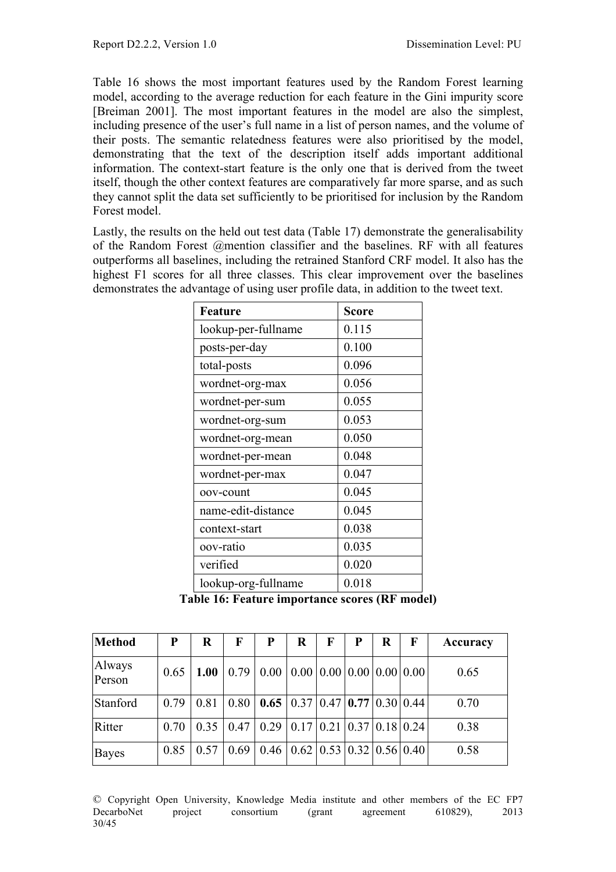Table 16 shows the most important features used by the Random Forest learning model, according to the average reduction for each feature in the Gini impurity score [Breiman 2001]. The most important features in the model are also the simplest, including presence of the user's full name in a list of person names, and the volume of their posts. The semantic relatedness features were also prioritised by the model, demonstrating that the text of the description itself adds important additional information. The context-start feature is the only one that is derived from the tweet itself, though the other context features are comparatively far more sparse, and as such they cannot split the data set sufficiently to be prioritised for inclusion by the Random Forest model.

Lastly, the results on the held out test data (Table 17) demonstrate the generalisability of the Random Forest @mention classifier and the baselines. RF with all features outperforms all baselines, including the retrained Stanford CRF model. It also has the highest F1 scores for all three classes. This clear improvement over the baselines demonstrates the advantage of using user profile data, in addition to the tweet text.

| <b>Feature</b>      | <b>Score</b> |
|---------------------|--------------|
| lookup-per-fullname | 0.115        |
| posts-per-day       | 0.100        |
| total-posts         | 0.096        |
| wordnet-org-max     | 0.056        |
| wordnet-per-sum     | 0.055        |
| wordnet-org-sum     | 0.053        |
| wordnet-org-mean    | 0.050        |
| wordnet-per-mean    | 0.048        |
| wordnet-per-max     | 0.047        |
| oov-count           | 0.045        |
| name-edit-distance  | 0.045        |
| context-start       | 0.038        |
| oov-ratio           | 0.035        |
| verified            | 0.020        |
| lookup-org-fullname | 0.018        |

**Table 16: Feature importance scores (RF model)**

| Method           | P    | $\bf R$ | F    | P                                                                  | $\bf R$ | F | P                                             | $\bf R$ | $\mathbf F$ | Accuracy |
|------------------|------|---------|------|--------------------------------------------------------------------|---------|---|-----------------------------------------------|---------|-------------|----------|
| Always<br>Person | 0.65 | 1.00    |      | $0.79 \mid 0.00 \mid 0.00 \mid 0.00 \mid 0.00 \mid 0.00 \mid 0.00$ |         |   |                                               |         |             | 0.65     |
| Stanford         | 0.79 | 0.81    | 0.80 | $0.65 \mid 0.37 \mid 0.47 \mid 0.77 \mid 0.30 \mid 0.44$           |         |   |                                               |         |             | 0.70     |
| Ritter           | 0.70 | 0.35    | 0.47 | $0.29 \mid 0.17 \mid$                                              |         |   | $\vert 0.21 \vert 0.37 \vert 0.18 \vert 0.24$ |         |             | 0.38     |
| <b>Bayes</b>     | 0.85 | 0.57    | 0.69 | $0.46 \mid 0.62 \mid 0.53 \mid 0.32 \mid 0.56 \mid 0.40$           |         |   |                                               |         |             | 0.58     |

© Copyright Open University, Knowledge Media institute and other members of the EC FP7 DecarboNet project consortium (grant agreement 610829), 2013 30/45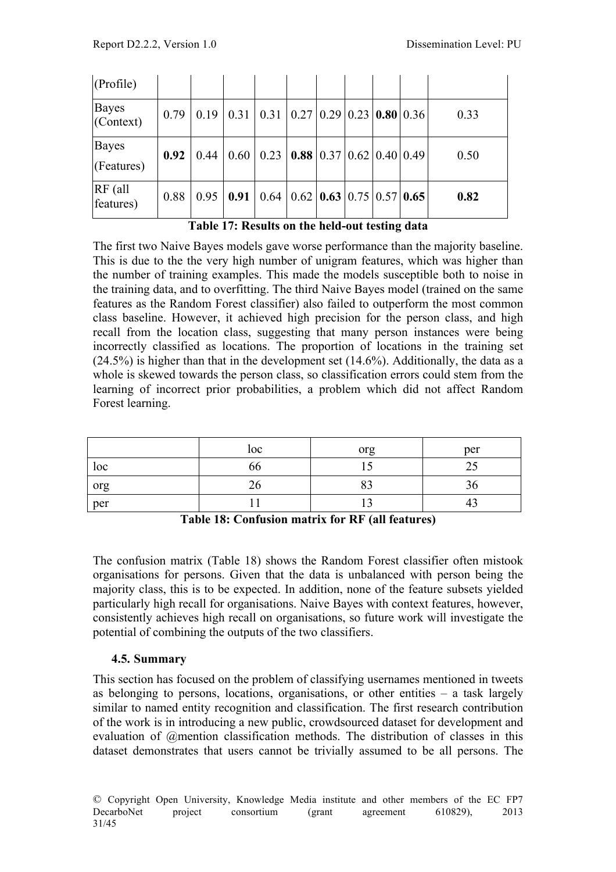| (Profile)                  |      |      |      |                                                          |                                                           |  |  |      |
|----------------------------|------|------|------|----------------------------------------------------------|-----------------------------------------------------------|--|--|------|
| Bayes<br>(Context)         | 0.79 | 0.19 | 0.31 | 0.31                                                     | $\vert 0.27 \vert 0.29 \vert 0.23 \vert 0.80 \vert 0.36$  |  |  | 0.33 |
| <b>Bayes</b><br>(Features) | 0.92 | 0.44 | 0.60 | 0.23                                                     | <b>0.88</b> $\vert 0.37 \vert 0.62 \vert 0.40 \vert 0.49$ |  |  | 0.50 |
| $RF$ (all<br>features)     | 0.88 | 0.95 | 0.91 | $0.64 \mid 0.62 \mid 0.63 \mid 0.75 \mid 0.57 \mid 0.65$ |                                                           |  |  | 0.82 |

**Table 17: Results on the held-out testing data**

The first two Naive Bayes models gave worse performance than the majority baseline. This is due to the the very high number of unigram features, which was higher than the number of training examples. This made the models susceptible both to noise in the training data, and to overfitting. The third Naive Bayes model (trained on the same features as the Random Forest classifier) also failed to outperform the most common class baseline. However, it achieved high precision for the person class, and high recall from the location class, suggesting that many person instances were being incorrectly classified as locations. The proportion of locations in the training set  $(24.5\%)$  is higher than that in the development set  $(14.6\%)$ . Additionally, the data as a whole is skewed towards the person class, so classification errors could stem from the learning of incorrect prior probabilities, a problem which did not affect Random Forest learning.

|     | loc | org | per                    |
|-----|-----|-----|------------------------|
| loc | 66  |     | $\cap$ $\subset$<br>ر∠ |
| org | 26  | ΩΩ  | 30                     |
| per |     |     |                        |

**Table 18: Confusion matrix for RF (all features)**

The confusion matrix (Table 18) shows the Random Forest classifier often mistook organisations for persons. Given that the data is unbalanced with person being the majority class, this is to be expected. In addition, none of the feature subsets yielded particularly high recall for organisations. Naive Bayes with context features, however, consistently achieves high recall on organisations, so future work will investigate the potential of combining the outputs of the two classifiers.

# **4.5. Summary**

This section has focused on the problem of classifying usernames mentioned in tweets as belonging to persons, locations, organisations, or other entities – a task largely similar to named entity recognition and classification. The first research contribution of the work is in introducing a new public, crowdsourced dataset for development and evaluation of @mention classification methods. The distribution of classes in this dataset demonstrates that users cannot be trivially assumed to be all persons. The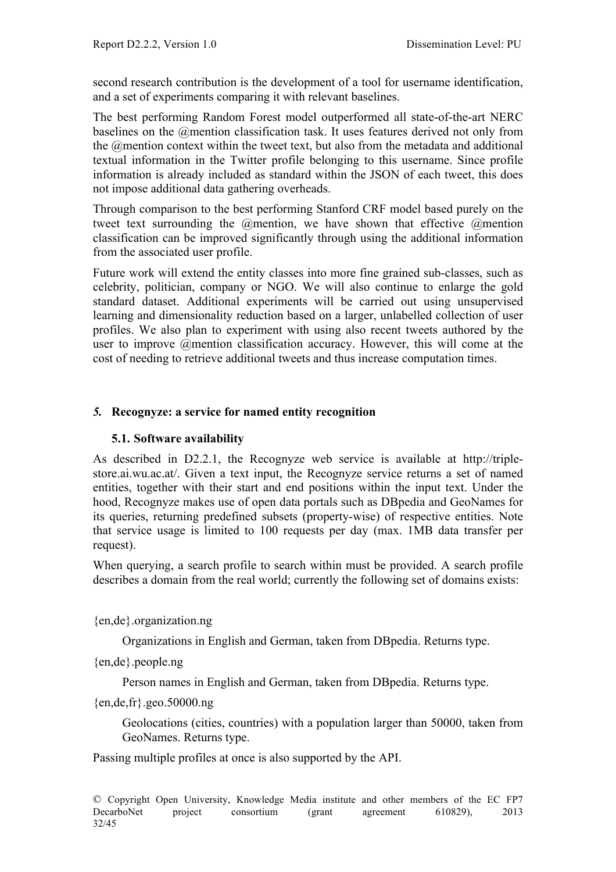second research contribution is the development of a tool for username identification, and a set of experiments comparing it with relevant baselines.

The best performing Random Forest model outperformed all state-of-the-art NERC baselines on the @mention classification task. It uses features derived not only from the @mention context within the tweet text, but also from the metadata and additional textual information in the Twitter profile belonging to this username. Since profile information is already included as standard within the JSON of each tweet, this does not impose additional data gathering overheads.

Through comparison to the best performing Stanford CRF model based purely on the tweet text surrounding the *@mention*, we have shown that effective *@mention* classification can be improved significantly through using the additional information from the associated user profile.

Future work will extend the entity classes into more fine grained sub-classes, such as celebrity, politician, company or NGO. We will also continue to enlarge the gold standard dataset. Additional experiments will be carried out using unsupervised learning and dimensionality reduction based on a larger, unlabelled collection of user profiles. We also plan to experiment with using also recent tweets authored by the user to improve @mention classification accuracy. However, this will come at the cost of needing to retrieve additional tweets and thus increase computation times.

# *5.* **Recognyze: a service for named entity recognition**

# **5.1. Software availability**

As described in D2.2.1, the Recognyze web service is available at http://triplestore.ai.wu.ac.at/. Given a text input, the Recognyze service returns a set of named entities, together with their start and end positions within the input text. Under the hood, Recognyze makes use of open data portals such as DBpedia and GeoNames for its queries, returning predefined subsets (property-wise) of respective entities. Note that service usage is limited to 100 requests per day (max. 1MB data transfer per request).

When querying, a search profile to search within must be provided. A search profile describes a domain from the real world; currently the following set of domains exists:

{en,de}.organization.ng

Organizations in English and German, taken from DBpedia. Returns type.

{en,de}.people.ng

Person names in English and German, taken from DBpedia. Returns type.

{en,de,fr}.geo.50000.ng

Geolocations (cities, countries) with a population larger than 50000, taken from GeoNames. Returns type.

Passing multiple profiles at once is also supported by the API.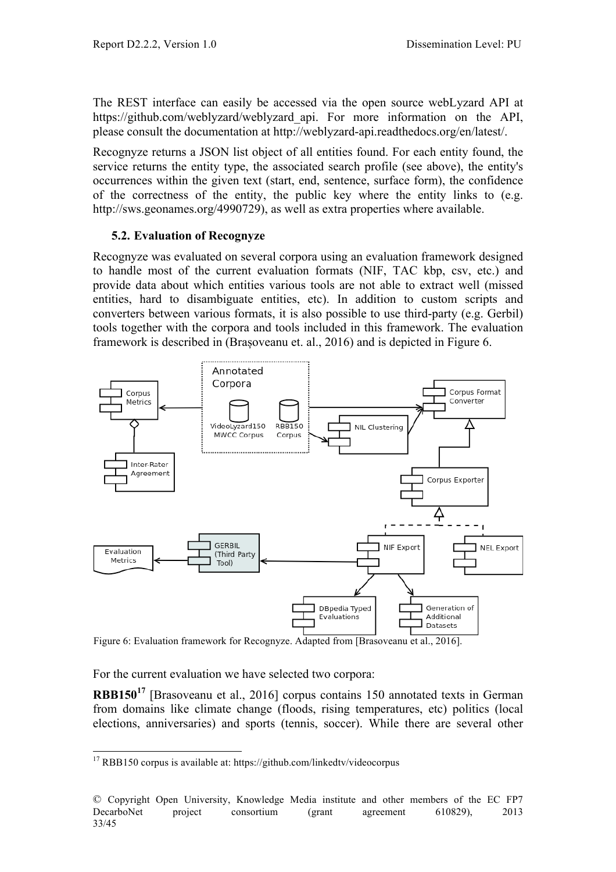The REST interface can easily be accessed via the open source webLyzard API at https://github.com/weblyzard/weblyzard api. For more information on the API, please consult the documentation at http://weblyzard-api.readthedocs.org/en/latest/.

Recognyze returns a JSON list object of all entities found. For each entity found, the service returns the entity type, the associated search profile (see above), the entity's occurrences within the given text (start, end, sentence, surface form), the confidence of the correctness of the entity, the public key where the entity links to (e.g. http://sws.geonames.org/4990729), as well as extra properties where available.

#### **5.2. Evaluation of Recognyze**

Recognyze was evaluated on several corpora using an evaluation framework designed to handle most of the current evaluation formats (NIF, TAC kbp, csv, etc.) and provide data about which entities various tools are not able to extract well (missed entities, hard to disambiguate entities, etc). In addition to custom scripts and converters between various formats, it is also possible to use third-party (e.g. Gerbil) tools together with the corpora and tools included in this framework. The evaluation framework is described in (Brașoveanu et. al., 2016) and is depicted in Figure 6.



Figure 6: Evaluation framework for Recognyze. Adapted from [Brasoveanu et al., 2016].

For the current evaluation we have selected two corpora:

**RBB150<sup>17</sup>** [Brasoveanu et al., 2016] corpus contains 150 annotated texts in German from domains like climate change (floods, rising temperatures, etc) politics (local elections, anniversaries) and sports (tennis, soccer). While there are several other

<sup>&</sup>lt;sup>17</sup> RBB150 corpus is available at: https://github.com/linkedtv/videocorpus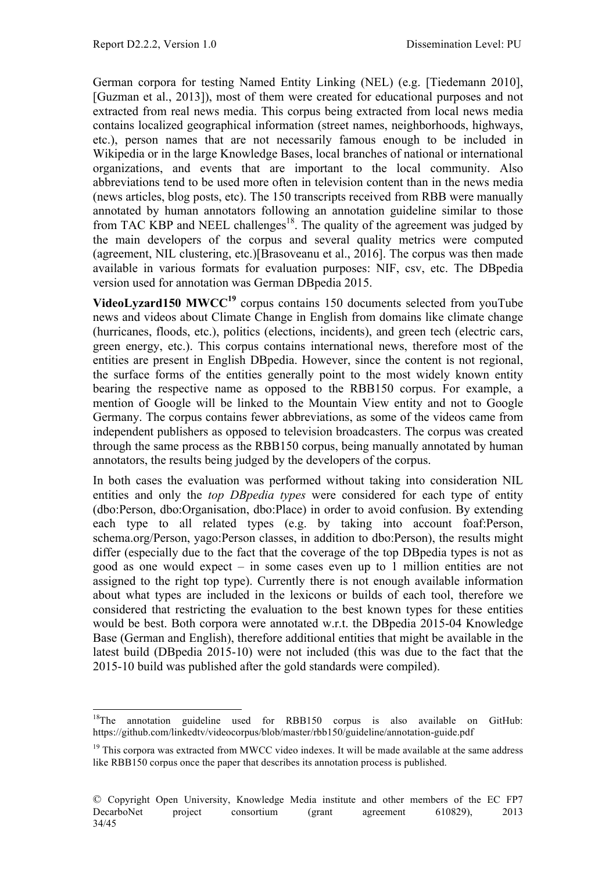German corpora for testing Named Entity Linking (NEL) (e.g. [Tiedemann 2010], [Guzman et al., 2013]), most of them were created for educational purposes and not extracted from real news media. This corpus being extracted from local news media contains localized geographical information (street names, neighborhoods, highways, etc.), person names that are not necessarily famous enough to be included in Wikipedia or in the large Knowledge Bases, local branches of national or international organizations, and events that are important to the local community. Also abbreviations tend to be used more often in television content than in the news media (news articles, blog posts, etc). The 150 transcripts received from RBB were manually annotated by human annotators following an annotation guideline similar to those from TAC KBP and NEEL challenges<sup>18</sup>. The quality of the agreement was judged by the main developers of the corpus and several quality metrics were computed (agreement, NIL clustering, etc.)[Brasoveanu et al., 2016]. The corpus was then made available in various formats for evaluation purposes: NIF, csv, etc. The DBpedia version used for annotation was German DBpedia 2015.

**VideoLyzard150 MWCC<sup>19</sup>** corpus contains 150 documents selected from youTube news and videos about Climate Change in English from domains like climate change (hurricanes, floods, etc.), politics (elections, incidents), and green tech (electric cars, green energy, etc.). This corpus contains international news, therefore most of the entities are present in English DBpedia. However, since the content is not regional, the surface forms of the entities generally point to the most widely known entity bearing the respective name as opposed to the RBB150 corpus. For example, a mention of Google will be linked to the Mountain View entity and not to Google Germany. The corpus contains fewer abbreviations, as some of the videos came from independent publishers as opposed to television broadcasters. The corpus was created through the same process as the RBB150 corpus, being manually annotated by human annotators, the results being judged by the developers of the corpus.

In both cases the evaluation was performed without taking into consideration NIL entities and only the *top DBpedia types* were considered for each type of entity (dbo:Person, dbo:Organisation, dbo:Place) in order to avoid confusion. By extending each type to all related types (e.g. by taking into account foaf:Person, schema.org/Person, yago:Person classes, in addition to dbo:Person), the results might differ (especially due to the fact that the coverage of the top DBpedia types is not as good as one would expect – in some cases even up to 1 million entities are not assigned to the right top type). Currently there is not enough available information about what types are included in the lexicons or builds of each tool, therefore we considered that restricting the evaluation to the best known types for these entities would be best. Both corpora were annotated w.r.t. the DBpedia 2015-04 Knowledge Base (German and English), therefore additional entities that might be available in the latest build (DBpedia 2015-10) were not included (this was due to the fact that the 2015-10 build was published after the gold standards were compiled).

<sup>&</sup>lt;sup>18</sup>The annotation guideline used for RBB150 corpus is also available on GitHub: https://github.com/linkedtv/videocorpus/blob/master/rbb150/guideline/annotation-guide.pdf

<sup>&</sup>lt;sup>19</sup> This corpora was extracted from MWCC video indexes. It will be made available at the same address like RBB150 corpus once the paper that describes its annotation process is published.

<sup>©</sup> Copyright Open University, Knowledge Media institute and other members of the EC FP7 DecarboNet project consortium (grant agreement 610829), 2013 34/45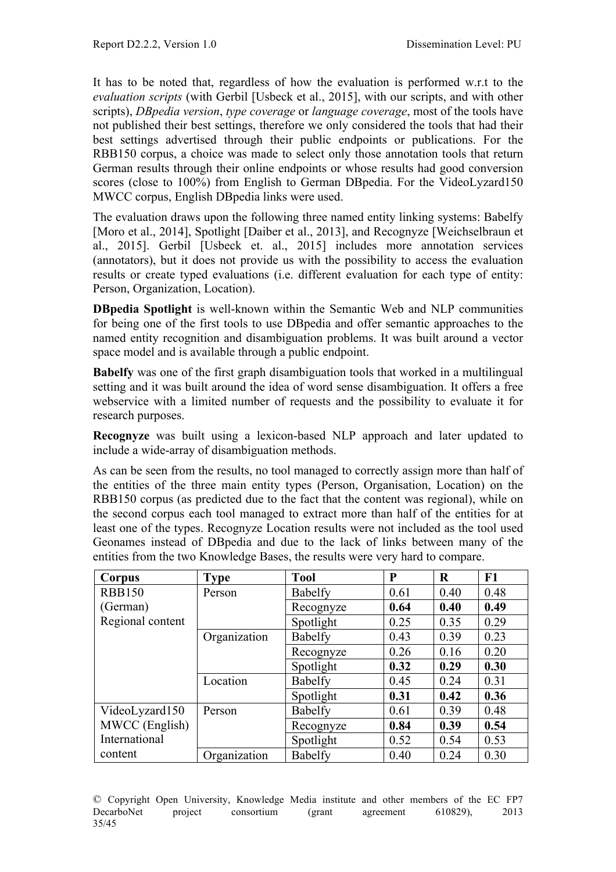It has to be noted that, regardless of how the evaluation is performed w.r.t to the *evaluation scripts* (with Gerbil [Usbeck et al., 2015], with our scripts, and with other scripts), *DBpedia version*, *type coverage* or *language coverage*, most of the tools have not published their best settings, therefore we only considered the tools that had their best settings advertised through their public endpoints or publications. For the RBB150 corpus, a choice was made to select only those annotation tools that return German results through their online endpoints or whose results had good conversion scores (close to 100%) from English to German DBpedia. For the VideoLyzard150 MWCC corpus, English DBpedia links were used.

The evaluation draws upon the following three named entity linking systems: Babelfy [Moro et al., 2014], Spotlight [Daiber et al., 2013], and Recognyze [Weichselbraun et al., 2015]. Gerbil [Usbeck et. al., 2015] includes more annotation services (annotators), but it does not provide us with the possibility to access the evaluation results or create typed evaluations (i.e. different evaluation for each type of entity: Person, Organization, Location).

**DBpedia Spotlight** is well-known within the Semantic Web and NLP communities for being one of the first tools to use DBpedia and offer semantic approaches to the named entity recognition and disambiguation problems. It was built around a vector space model and is available through a public endpoint.

**Babelfy** was one of the first graph disambiguation tools that worked in a multilingual setting and it was built around the idea of word sense disambiguation. It offers a free webservice with a limited number of requests and the possibility to evaluate it for research purposes.

**Recognyze** was built using a lexicon-based NLP approach and later updated to include a wide-array of disambiguation methods.

As can be seen from the results, no tool managed to correctly assign more than half of the entities of the three main entity types (Person, Organisation, Location) on the RBB150 corpus (as predicted due to the fact that the content was regional), while on the second corpus each tool managed to extract more than half of the entities for at least one of the types. Recognyze Location results were not included as the tool used Geonames instead of DBpedia and due to the lack of links between many of the entities from the two Knowledge Bases, the results were very hard to compare.

| Corpus           | <b>Type</b>  | <b>Tool</b> | P    | R    | F1   |
|------------------|--------------|-------------|------|------|------|
| <b>RBB150</b>    | Person       | Babelfy     | 0.61 | 0.40 | 0.48 |
| (German)         |              | Recognyze   | 0.64 | 0.40 | 0.49 |
| Regional content |              | Spotlight   | 0.25 | 0.35 | 0.29 |
|                  | Organization | Babelfy     | 0.43 | 0.39 | 0.23 |
|                  |              | Recognyze   | 0.26 | 0.16 | 0.20 |
|                  |              | Spotlight   | 0.32 | 0.29 | 0.30 |
|                  | Location     | Babelfy     | 0.45 | 0.24 | 0.31 |
|                  |              | Spotlight   | 0.31 | 0.42 | 0.36 |
| VideoLyzard150   | Person       | Babelfy     | 0.61 | 0.39 | 0.48 |
| MWCC (English)   |              | Recognyze   | 0.84 | 0.39 | 0.54 |
| International    |              | Spotlight   | 0.52 | 0.54 | 0.53 |
| content          | Organization | Babelfy     | 0.40 | 0.24 | 0.30 |

© Copyright Open University, Knowledge Media institute and other members of the EC FP7 DecarboNet project consortium (grant agreement 610829), 2013 35/45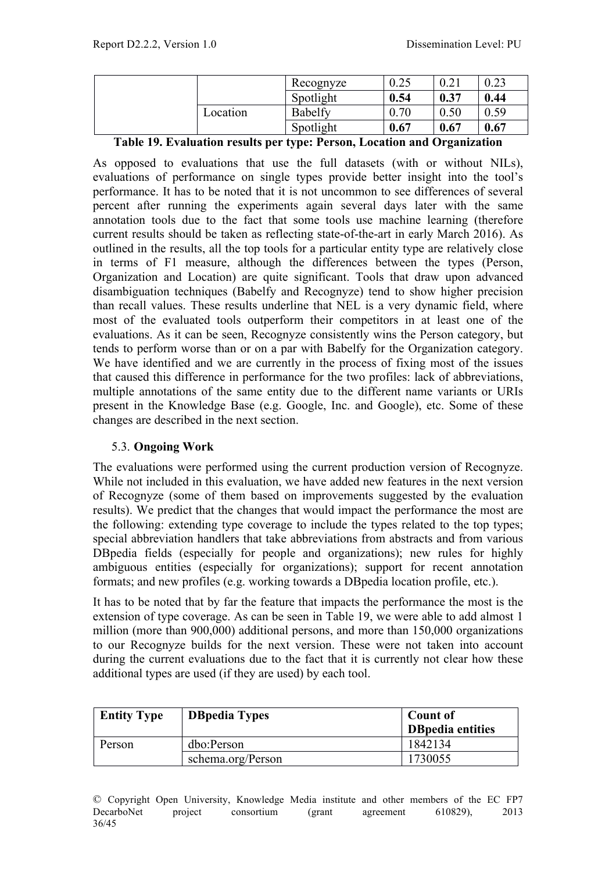|          | Recognyze | 0.25 | 0.21 | 0.23 |
|----------|-----------|------|------|------|
|          | Spotlight | 0.54 | 0.37 | 0.44 |
| Location | Babelfy   | 0.70 | 0.50 | 0.59 |
|          | Spotlight | 0.67 | 0.67 | 0.67 |

**Table 19. Evaluation results per type: Person, Location and Organization**

As opposed to evaluations that use the full datasets (with or without NILs), evaluations of performance on single types provide better insight into the tool's performance. It has to be noted that it is not uncommon to see differences of several percent after running the experiments again several days later with the same annotation tools due to the fact that some tools use machine learning (therefore current results should be taken as reflecting state-of-the-art in early March 2016). As outlined in the results, all the top tools for a particular entity type are relatively close in terms of F1 measure, although the differences between the types (Person, Organization and Location) are quite significant. Tools that draw upon advanced disambiguation techniques (Babelfy and Recognyze) tend to show higher precision than recall values. These results underline that NEL is a very dynamic field, where most of the evaluated tools outperform their competitors in at least one of the evaluations. As it can be seen, Recognyze consistently wins the Person category, but tends to perform worse than or on a par with Babelfy for the Organization category. We have identified and we are currently in the process of fixing most of the issues that caused this difference in performance for the two profiles: lack of abbreviations, multiple annotations of the same entity due to the different name variants or URIs present in the Knowledge Base (e.g. Google, Inc. and Google), etc. Some of these changes are described in the next section.

#### 5.3. **Ongoing Work**

The evaluations were performed using the current production version of Recognyze. While not included in this evaluation, we have added new features in the next version of Recognyze (some of them based on improvements suggested by the evaluation results). We predict that the changes that would impact the performance the most are the following: extending type coverage to include the types related to the top types; special abbreviation handlers that take abbreviations from abstracts and from various DBpedia fields (especially for people and organizations); new rules for highly ambiguous entities (especially for organizations); support for recent annotation formats; and new profiles (e.g. working towards a DBpedia location profile, etc.).

It has to be noted that by far the feature that impacts the performance the most is the extension of type coverage. As can be seen in Table 19, we were able to add almost 1 million (more than 900,000) additional persons, and more than 150,000 organizations to our Recognyze builds for the next version. These were not taken into account during the current evaluations due to the fact that it is currently not clear how these additional types are used (if they are used) by each tool.

| <b>Entity Type</b> | <b>DBpedia Types</b> | <b>Count of</b><br><b>DB</b> pedia entities |
|--------------------|----------------------|---------------------------------------------|
| Person             | dbo:Person           | 1842134                                     |
|                    | schema.org/Person    | 1730055                                     |

© Copyright Open University, Knowledge Media institute and other members of the EC FP7 DecarboNet project consortium (grant agreement 610829), 2013 36/45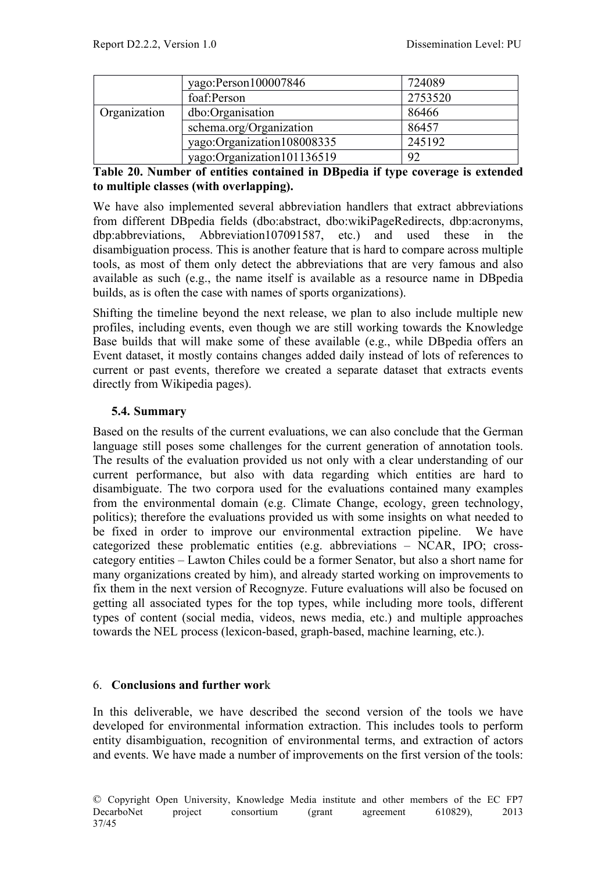|              | yago:Person100007846       | 724089  |
|--------------|----------------------------|---------|
|              | foaf:Person                | 2753520 |
| Organization | dbo:Organisation           | 86466   |
|              | schema.org/Organization    | 86457   |
|              | yago:Organization108008335 | 245192  |
|              | yago:Organization101136519 | 92      |

**Table 20. Number of entities contained in DBpedia if type coverage is extended to multiple classes (with overlapping).**

We have also implemented several abbreviation handlers that extract abbreviations from different DBpedia fields (dbo:abstract, dbo:wikiPageRedirects, dbp:acronyms, dbp:abbreviations, Abbreviation107091587, etc.) and used these in the disambiguation process. This is another feature that is hard to compare across multiple tools, as most of them only detect the abbreviations that are very famous and also available as such (e.g., the name itself is available as a resource name in DBpedia builds, as is often the case with names of sports organizations).

Shifting the timeline beyond the next release, we plan to also include multiple new profiles, including events, even though we are still working towards the Knowledge Base builds that will make some of these available (e.g., while DBpedia offers an Event dataset, it mostly contains changes added daily instead of lots of references to current or past events, therefore we created a separate dataset that extracts events directly from Wikipedia pages).

# **5.4. Summary**

Based on the results of the current evaluations, we can also conclude that the German language still poses some challenges for the current generation of annotation tools. The results of the evaluation provided us not only with a clear understanding of our current performance, but also with data regarding which entities are hard to disambiguate. The two corpora used for the evaluations contained many examples from the environmental domain (e.g. Climate Change, ecology, green technology, politics); therefore the evaluations provided us with some insights on what needed to be fixed in order to improve our environmental extraction pipeline. We have categorized these problematic entities (e.g. abbreviations – NCAR, IPO; crosscategory entities – Lawton Chiles could be a former Senator, but also a short name for many organizations created by him), and already started working on improvements to fix them in the next version of Recognyze. Future evaluations will also be focused on getting all associated types for the top types, while including more tools, different types of content (social media, videos, news media, etc.) and multiple approaches towards the NEL process (lexicon-based, graph-based, machine learning, etc.).

#### 6. **Conclusions and further wor**k

In this deliverable, we have described the second version of the tools we have developed for environmental information extraction. This includes tools to perform entity disambiguation, recognition of environmental terms, and extraction of actors and events. We have made a number of improvements on the first version of the tools: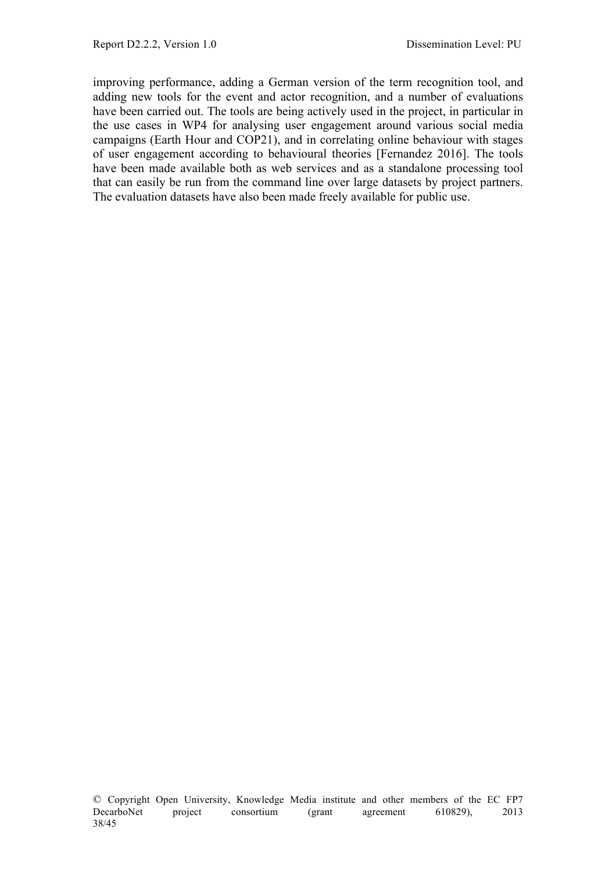improving performance, adding a German version of the term recognition tool, and adding new tools for the event and actor recognition, and a number of evaluations have been carried out. The tools are being actively used in the project, in particular in the use cases in WP4 for analysing user engagement around various social media campaigns (Earth Hour and COP21), and in correlating online behaviour with stages of user engagement according to behavioural theories [Fernandez 2016]. The tools have been made available both as web services and as a standalone processing tool that can easily be run from the command line over large datasets by project partners. The evaluation datasets have also been made freely available for public use.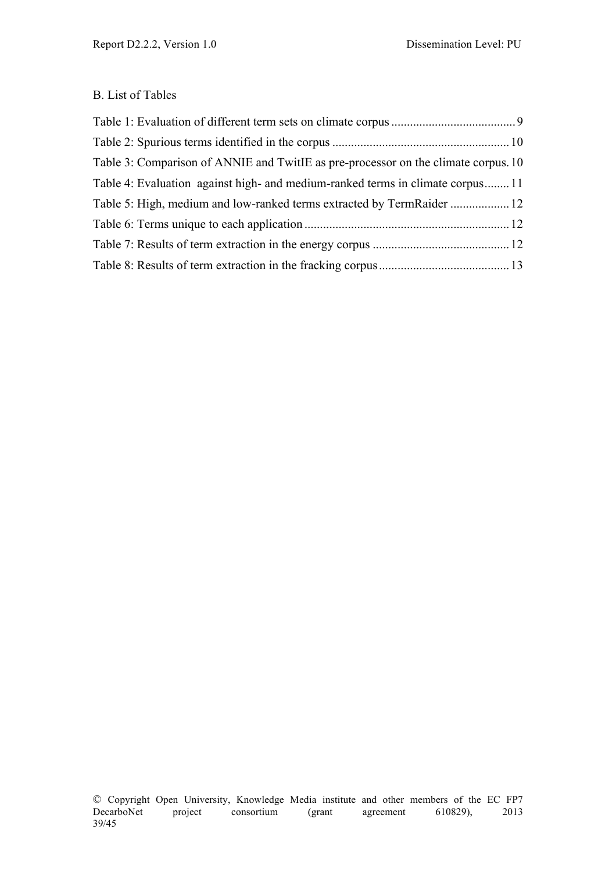#### B. List of Tables

| Table 3: Comparison of ANNIE and TwitIE as pre-processor on the climate corpus. 10 |  |
|------------------------------------------------------------------------------------|--|
| Table 4: Evaluation against high- and medium-ranked terms in climate corpus 11     |  |
|                                                                                    |  |
|                                                                                    |  |
|                                                                                    |  |
|                                                                                    |  |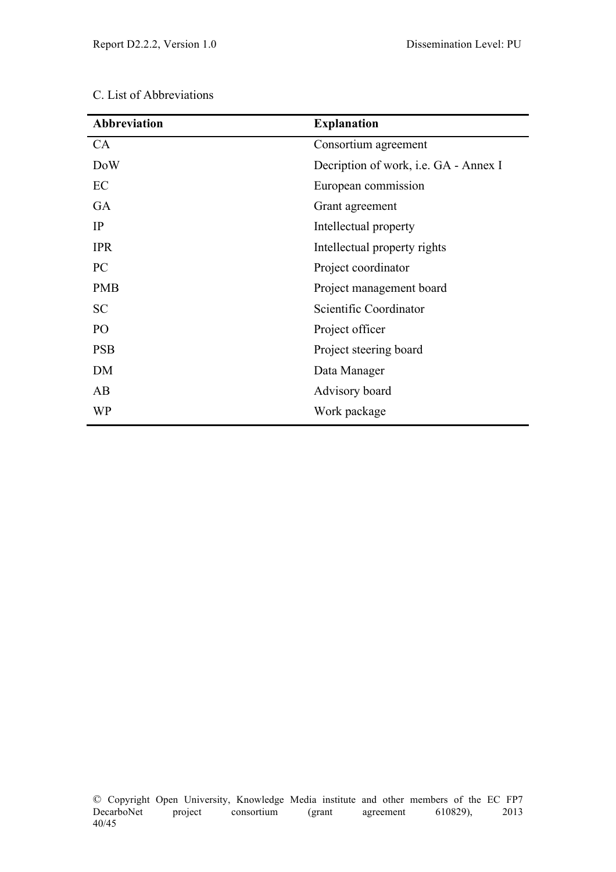|  |  |  | C. List of Abbreviations |  |  |
|--|--|--|--------------------------|--|--|
|--|--|--|--------------------------|--|--|

| <b>Abbreviation</b> | <b>Explanation</b>                           |  |  |
|---------------------|----------------------------------------------|--|--|
| <b>CA</b>           | Consortium agreement                         |  |  |
| <b>DoW</b>          | Decription of work, <i>i.e.</i> GA - Annex I |  |  |
| EC                  | European commission                          |  |  |
| <b>GA</b>           | Grant agreement                              |  |  |
| IP                  | Intellectual property                        |  |  |
| <b>IPR</b>          | Intellectual property rights                 |  |  |
| PC                  | Project coordinator                          |  |  |
| <b>PMB</b>          | Project management board                     |  |  |
| <b>SC</b>           | Scientific Coordinator                       |  |  |
| PO                  | Project officer                              |  |  |
| <b>PSB</b>          | Project steering board                       |  |  |
| DM                  | Data Manager                                 |  |  |
| AB                  | Advisory board                               |  |  |
| WP                  | Work package                                 |  |  |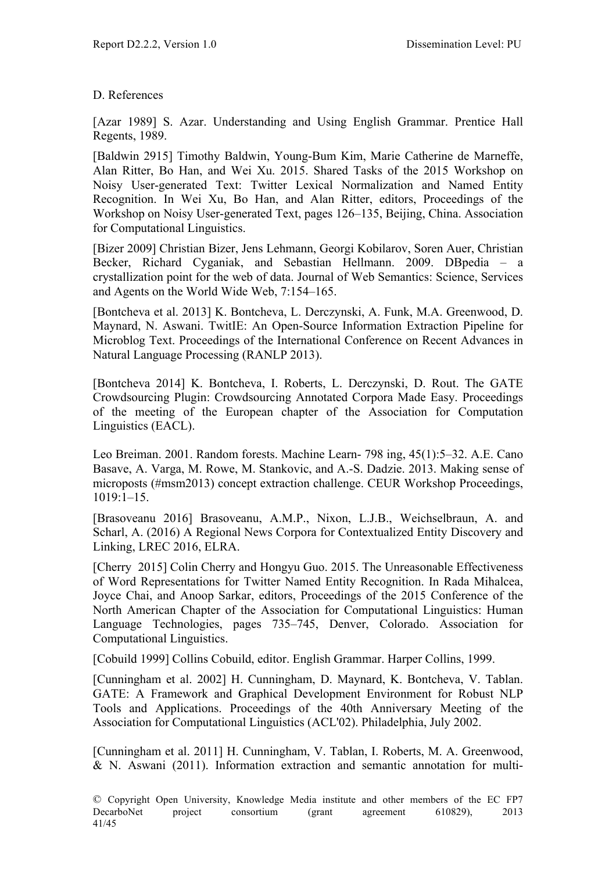#### D. References

[Azar 1989] S. Azar. Understanding and Using English Grammar. Prentice Hall Regents, 1989.

[Baldwin 2915] Timothy Baldwin, Young-Bum Kim, Marie Catherine de Marneffe, Alan Ritter, Bo Han, and Wei Xu. 2015. Shared Tasks of the 2015 Workshop on Noisy User-generated Text: Twitter Lexical Normalization and Named Entity Recognition. In Wei Xu, Bo Han, and Alan Ritter, editors, Proceedings of the Workshop on Noisy User-generated Text, pages 126–135, Beijing, China. Association for Computational Linguistics.

[Bizer 2009] Christian Bizer, Jens Lehmann, Georgi Kobilarov, Soren Auer, Christian Becker, Richard Cyganiak, and Sebastian Hellmann. 2009. DBpedia – a crystallization point for the web of data. Journal of Web Semantics: Science, Services and Agents on the World Wide Web, 7:154–165.

[Bontcheva et al. 2013] K. Bontcheva, L. Derczynski, A. Funk, M.A. Greenwood, D. Maynard, N. Aswani. TwitIE: An Open-Source Information Extraction Pipeline for Microblog Text. Proceedings of the International Conference on Recent Advances in Natural Language Processing (RANLP 2013).

[Bontcheva 2014] K. Bontcheva, I. Roberts, L. Derczynski, D. Rout. The GATE Crowdsourcing Plugin: Crowdsourcing Annotated Corpora Made Easy. Proceedings of the meeting of the European chapter of the Association for Computation Linguistics (EACL).

Leo Breiman. 2001. Random forests. Machine Learn- 798 ing, 45(1):5–32. A.E. Cano Basave, A. Varga, M. Rowe, M. Stankovic, and A.-S. Dadzie. 2013. Making sense of microposts (#msm2013) concept extraction challenge. CEUR Workshop Proceedings, 1019:1–15.

[Brasoveanu 2016] Brasoveanu, A.M.P., Nixon, L.J.B., Weichselbraun, A. and Scharl, A. (2016) A Regional News Corpora for Contextualized Entity Discovery and Linking, LREC 2016, ELRA.

[Cherry 2015] Colin Cherry and Hongyu Guo. 2015. The Unreasonable Effectiveness of Word Representations for Twitter Named Entity Recognition. In Rada Mihalcea, Joyce Chai, and Anoop Sarkar, editors, Proceedings of the 2015 Conference of the North American Chapter of the Association for Computational Linguistics: Human Language Technologies, pages 735–745, Denver, Colorado. Association for Computational Linguistics.

[Cobuild 1999] Collins Cobuild, editor. English Grammar. Harper Collins, 1999.

[Cunningham et al. 2002] H. Cunningham, D. Maynard, K. Bontcheva, V. Tablan. GATE: A Framework and Graphical Development Environment for Robust NLP Tools and Applications. Proceedings of the 40th Anniversary Meeting of the Association for Computational Linguistics (ACL'02). Philadelphia, July 2002.

[Cunningham et al. 2011] H. Cunningham, V. Tablan, I. Roberts, M. A. Greenwood, & N. Aswani (2011). Information extraction and semantic annotation for multi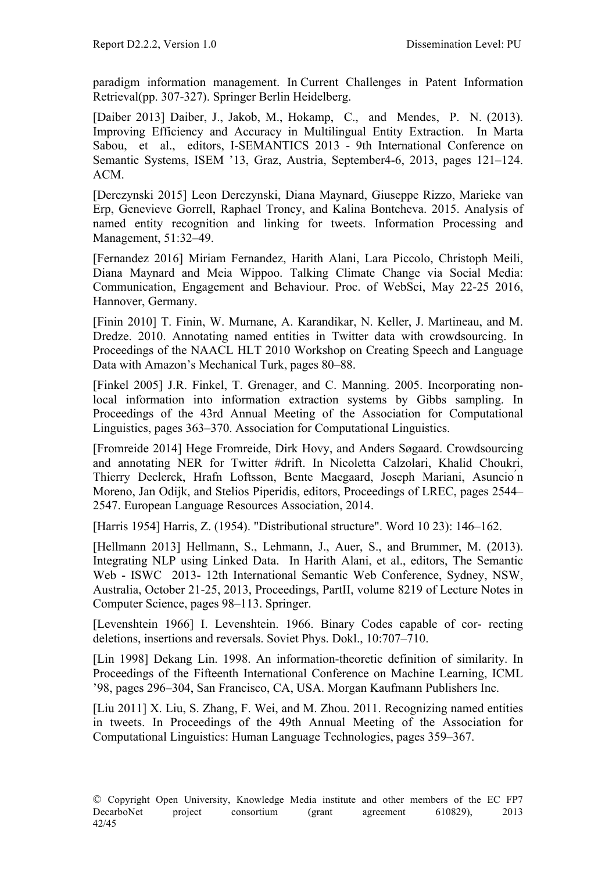paradigm information management. In Current Challenges in Patent Information Retrieval(pp. 307-327). Springer Berlin Heidelberg.

[Daiber 2013] Daiber, J., Jakob, M., Hokamp, C., and Mendes, P. N. (2013). Improving Efficiency and Accuracy in Multilingual Entity Extraction. In Marta Sabou, et al., editors, I-SEMANTICS 2013 - 9th International Conference on Semantic Systems, ISEM '13, Graz, Austria, September4-6, 2013, pages 121–124. ACM.

[Derczynski 2015] Leon Derczynski, Diana Maynard, Giuseppe Rizzo, Marieke van Erp, Genevieve Gorrell, Raphael Troncy, and Kalina Bontcheva. 2015. Analysis of named entity recognition and linking for tweets. Information Processing and Management, 51:32–49.

[Fernandez 2016] Miriam Fernandez, Harith Alani, Lara Piccolo, Christoph Meili, Diana Maynard and Meia Wippoo. Talking Climate Change via Social Media: Communication, Engagement and Behaviour. Proc. of WebSci, May 22-25 2016, Hannover, Germany.

[Finin 2010] T. Finin, W. Murnane, A. Karandikar, N. Keller, J. Martineau, and M. Dredze. 2010. Annotating named entities in Twitter data with crowdsourcing. In Proceedings of the NAACL HLT 2010 Workshop on Creating Speech and Language Data with Amazon's Mechanical Turk, pages 80–88.

[Finkel 2005] J.R. Finkel, T. Grenager, and C. Manning. 2005. Incorporating nonlocal information into information extraction systems by Gibbs sampling. In Proceedings of the 43rd Annual Meeting of the Association for Computational Linguistics, pages 363–370. Association for Computational Linguistics.

[Fromreide 2014] Hege Fromreide, Dirk Hovy, and Anders Søgaard. Crowdsourcing and annotating NER for Twitter #drift. In Nicoletta Calzolari, Khalid Choukri, Thierry Declerck, Hrafn Loftsson, Bente Maegaard, Joseph Mariani, Asuncio ́n Moreno, Jan Odijk, and Stelios Piperidis, editors, Proceedings of LREC, pages 2544– 2547. European Language Resources Association, 2014.

[Harris 1954] Harris, Z. (1954). "Distributional structure". Word 10 23): 146–162.

[Hellmann 2013] Hellmann, S., Lehmann, J., Auer, S., and Brummer, M. (2013). Integrating NLP using Linked Data. In Harith Alani, et al., editors, The Semantic Web - ISWC 2013- 12th International Semantic Web Conference, Sydney, NSW, Australia, October 21-25, 2013, Proceedings, PartII, volume 8219 of Lecture Notes in Computer Science, pages 98–113. Springer.

[Levenshtein 1966] I. Levenshtein. 1966. Binary Codes capable of cor- recting deletions, insertions and reversals. Soviet Phys. Dokl., 10:707–710.

[Lin 1998] Dekang Lin. 1998. An information-theoretic definition of similarity. In Proceedings of the Fifteenth International Conference on Machine Learning, ICML '98, pages 296–304, San Francisco, CA, USA. Morgan Kaufmann Publishers Inc.

[Liu 2011] X. Liu, S. Zhang, F. Wei, and M. Zhou. 2011. Recognizing named entities in tweets. In Proceedings of the 49th Annual Meeting of the Association for Computational Linguistics: Human Language Technologies, pages 359–367.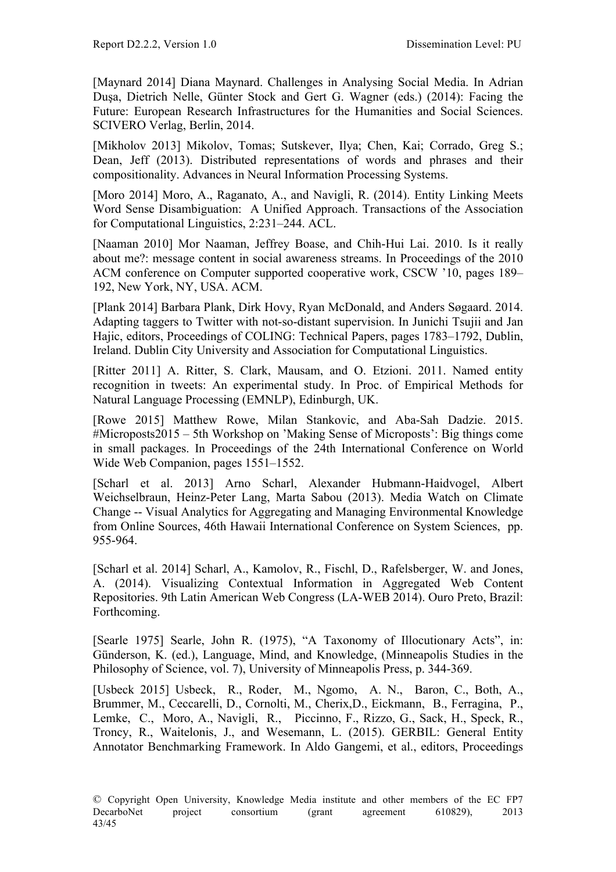[Maynard 2014] Diana Maynard. Challenges in Analysing Social Media. In Adrian Duşa, Dietrich Nelle, Günter Stock and Gert G. Wagner (eds.) (2014): Facing the Future: European Research Infrastructures for the Humanities and Social Sciences. SCIVERO Verlag, Berlin, 2014.

[Mikholov 2013] Mikolov, Tomas; Sutskever, Ilya; Chen, Kai; Corrado, Greg S.; Dean, Jeff (2013). Distributed representations of words and phrases and their compositionality. Advances in Neural Information Processing Systems.

[Moro 2014] Moro, A., Raganato, A., and Navigli, R. (2014). Entity Linking Meets Word Sense Disambiguation: A Unified Approach. Transactions of the Association for Computational Linguistics, 2:231–244. ACL.

[Naaman 2010] Mor Naaman, Jeffrey Boase, and Chih-Hui Lai. 2010. Is it really about me?: message content in social awareness streams. In Proceedings of the 2010 ACM conference on Computer supported cooperative work, CSCW '10, pages 189– 192, New York, NY, USA. ACM.

[Plank 2014] Barbara Plank, Dirk Hovy, Ryan McDonald, and Anders Søgaard. 2014. Adapting taggers to Twitter with not-so-distant supervision. In Junichi Tsujii and Jan Hajic, editors, Proceedings of COLING: Technical Papers, pages 1783–1792, Dublin, Ireland. Dublin City University and Association for Computational Linguistics.

[Ritter 2011] A. Ritter, S. Clark, Mausam, and O. Etzioni. 2011. Named entity recognition in tweets: An experimental study. In Proc. of Empirical Methods for Natural Language Processing (EMNLP), Edinburgh, UK.

[Rowe 2015] Matthew Rowe, Milan Stankovic, and Aba-Sah Dadzie. 2015. #Microposts2015 – 5th Workshop on 'Making Sense of Microposts': Big things come in small packages. In Proceedings of the 24th International Conference on World Wide Web Companion, pages 1551–1552.

[Scharl et al. 2013] Arno Scharl, Alexander Hubmann-Haidvogel, Albert Weichselbraun, Heinz-Peter Lang, Marta Sabou (2013). Media Watch on Climate Change -- Visual Analytics for Aggregating and Managing Environmental Knowledge from Online Sources, 46th Hawaii International Conference on System Sciences, pp. 955-964.

[Scharl et al. 2014] Scharl, A., Kamolov, R., Fischl, D., Rafelsberger, W. and Jones, A. (2014). Visualizing Contextual Information in Aggregated Web Content Repositories. 9th Latin American Web Congress (LA-WEB 2014). Ouro Preto, Brazil: Forthcoming.

[Searle 1975] Searle, John R. (1975), "A Taxonomy of Illocutionary Acts", in: Günderson, K. (ed.), Language, Mind, and Knowledge, (Minneapolis Studies in the Philosophy of Science, vol. 7), University of Minneapolis Press, p. 344-369.

[Usbeck 2015] Usbeck, R., Roder, M., Ngomo, A. N., Baron, C., Both, A., Brummer, M., Ceccarelli, D., Cornolti, M., Cherix,D., Eickmann, B., Ferragina, P., Lemke, C., Moro, A., Navigli, R., Piccinno, F., Rizzo, G., Sack, H., Speck, R., Troncy, R., Waitelonis, J., and Wesemann, L. (2015). GERBIL: General Entity Annotator Benchmarking Framework. In Aldo Gangemi, et al., editors, Proceedings

<sup>©</sup> Copyright Open University, Knowledge Media institute and other members of the EC FP7 DecarboNet project consortium (grant agreement 610829), 2013 43/45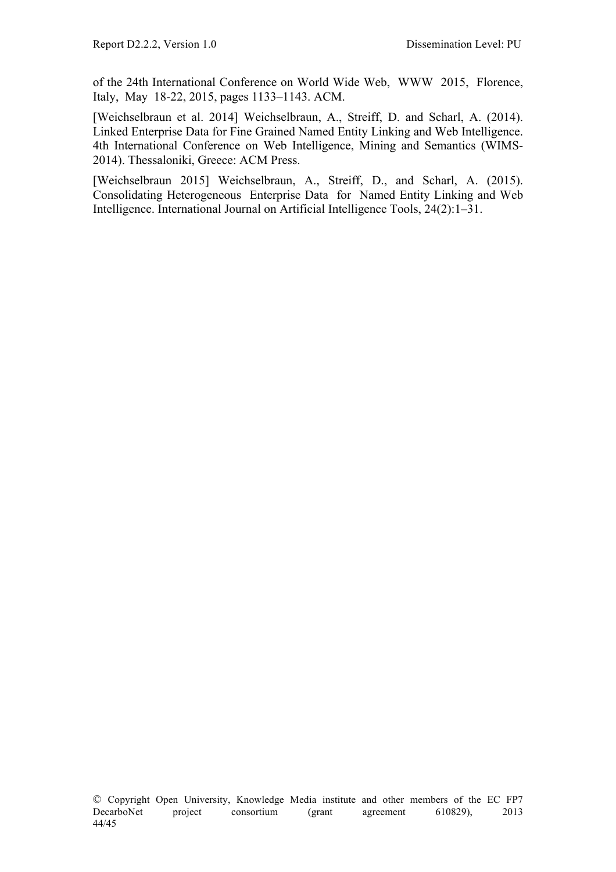of the 24th International Conference on World Wide Web, WWW 2015, Florence, Italy, May 18-22, 2015, pages 1133–1143. ACM.

[Weichselbraun et al. 2014] Weichselbraun, A., Streiff, D. and Scharl, A. (2014). Linked Enterprise Data for Fine Grained Named Entity Linking and Web Intelligence. 4th International Conference on Web Intelligence, Mining and Semantics (WIMS-2014). Thessaloniki, Greece: ACM Press.

[Weichselbraun 2015] Weichselbraun, A., Streiff, D., and Scharl, A. (2015). Consolidating Heterogeneous Enterprise Data for Named Entity Linking and Web Intelligence. International Journal on Artificial Intelligence Tools, 24(2):1–31.